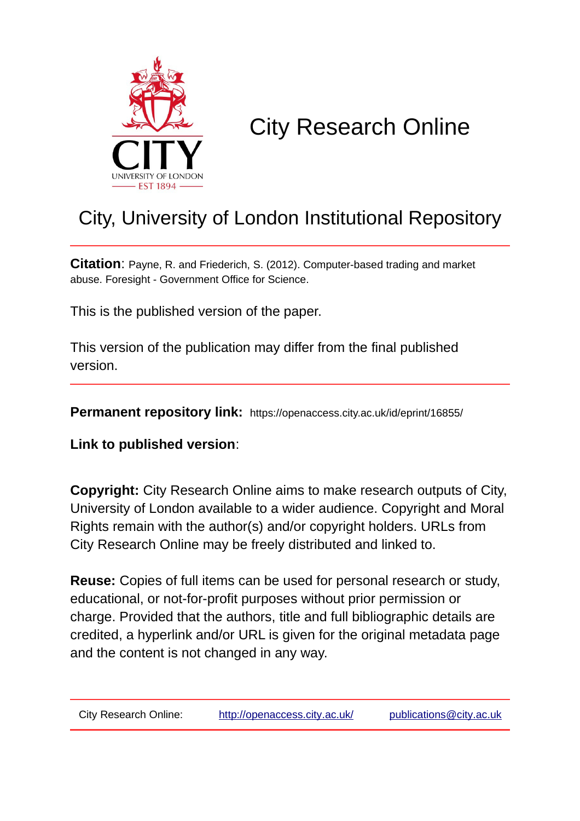

# City Research Online

# City, University of London Institutional Repository

**Citation**: Payne, R. and Friederich, S. (2012). Computer-based trading and market abuse. Foresight - Government Office for Science.

This is the published version of the paper.

This version of the publication may differ from the final published version.

**Permanent repository link:** https://openaccess.city.ac.uk/id/eprint/16855/

**Link to published version**:

**Copyright:** City Research Online aims to make research outputs of City, University of London available to a wider audience. Copyright and Moral Rights remain with the author(s) and/or copyright holders. URLs from City Research Online may be freely distributed and linked to.

**Reuse:** Copies of full items can be used for personal research or study, educational, or not-for-profit purposes without prior permission or charge. Provided that the authors, title and full bibliographic details are credited, a hyperlink and/or URL is given for the original metadata page and the content is not changed in any way.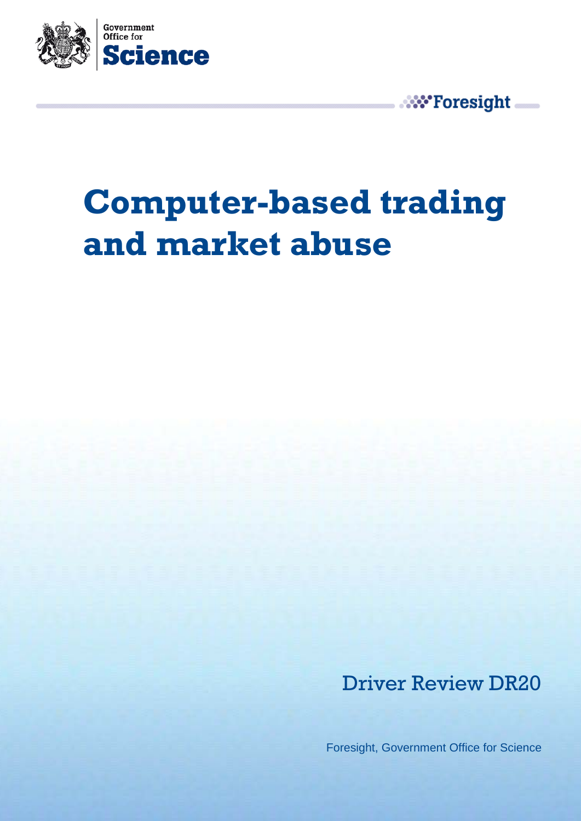

**W**\*Foresight

# **Computer-based trading and market abuse**

Driver Review DR20

Foresight, Government Office for Science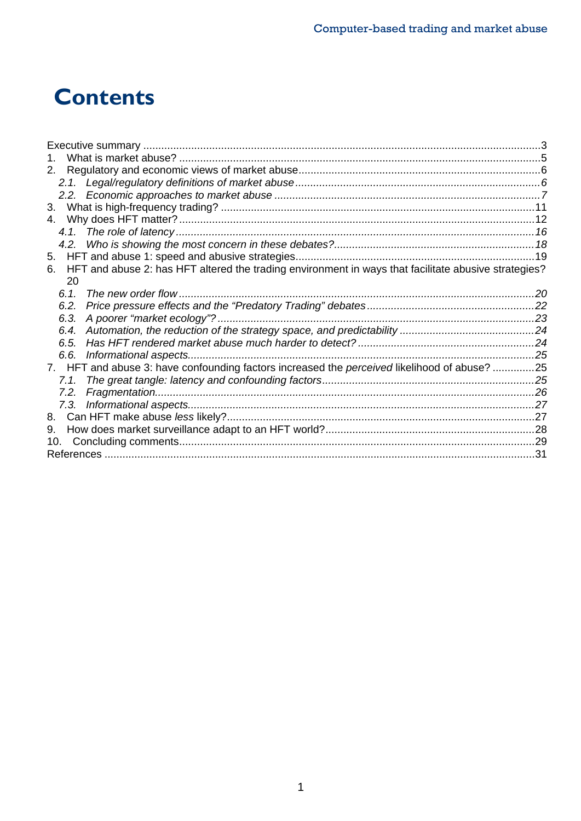# **Contents**

| $1_{-}$                                                                                                    |  |
|------------------------------------------------------------------------------------------------------------|--|
|                                                                                                            |  |
|                                                                                                            |  |
|                                                                                                            |  |
| 3.                                                                                                         |  |
|                                                                                                            |  |
|                                                                                                            |  |
|                                                                                                            |  |
|                                                                                                            |  |
| HFT and abuse 2: has HFT altered the trading environment in ways that facilitate abusive strategies?<br>6. |  |
| 20                                                                                                         |  |
| The new order flow<br>6.1                                                                                  |  |
| 6.2.                                                                                                       |  |
| 6.3.                                                                                                       |  |
|                                                                                                            |  |
| 6.5.                                                                                                       |  |
|                                                                                                            |  |
| 7. HFT and abuse 3: have confounding factors increased the <i>perceived</i> likelihood of abuse? 25        |  |
|                                                                                                            |  |
| 7.2.                                                                                                       |  |
|                                                                                                            |  |
|                                                                                                            |  |
| 9.                                                                                                         |  |
|                                                                                                            |  |
|                                                                                                            |  |
|                                                                                                            |  |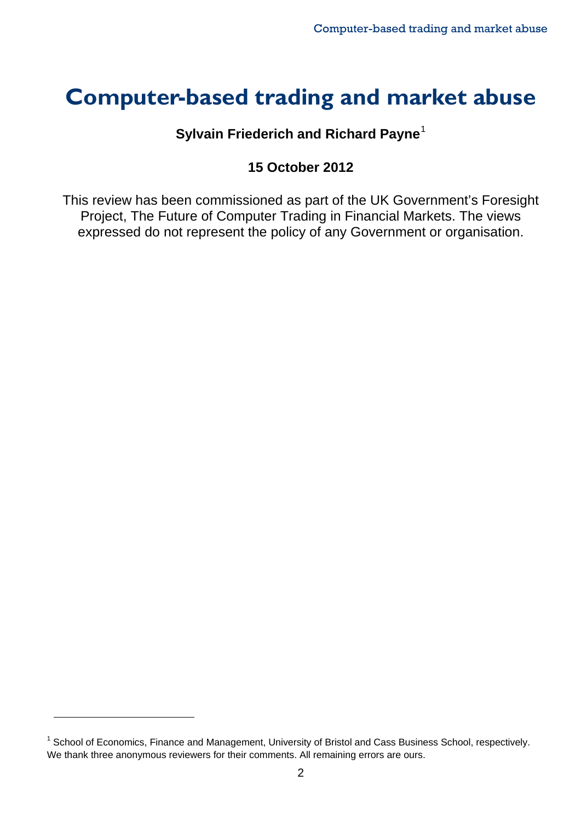# **Computer-based trading and market abuse**

### **Sylvain Friederich and Richard Payne**[1](#page-3-0)

### **15 October 2012**

This review has been commissioned as part of the UK Government's Foresight Project, The Future of Computer Trading in Financial Markets. The views expressed do not represent the policy of any Government or organisation.

<span id="page-3-0"></span><sup>&</sup>lt;sup>1</sup> School of Economics, Finance and Management, University of Bristol and Cass Business School, respectively. We thank three anonymous reviewers for their comments. All remaining errors are ours.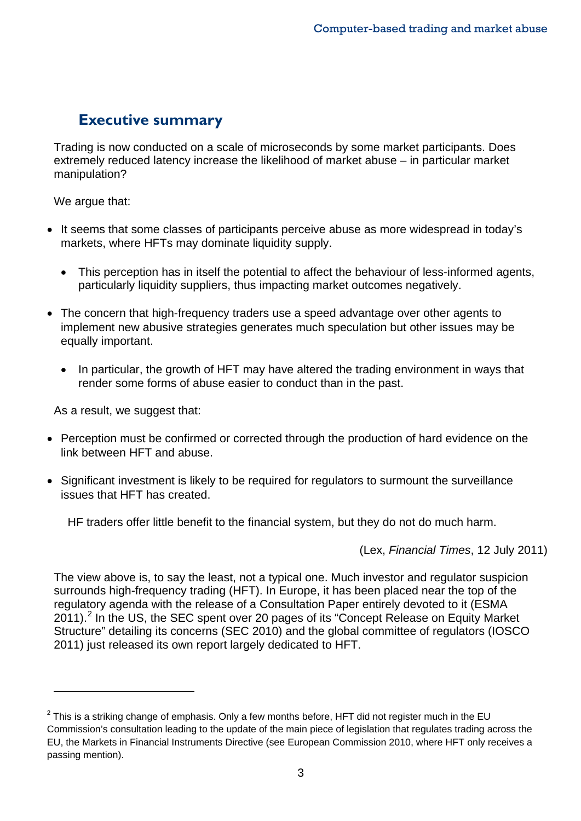# **Executive summary**

Trading is now conducted on a scale of microseconds by some market participants. Does extremely reduced latency increase the likelihood of market abuse – in particular market manipulation?

We argue that:

- It seems that some classes of participants perceive abuse as more widespread in today's markets, where HFTs may dominate liquidity supply.
	- This perception has in itself the potential to affect the behaviour of less-informed agents, particularly liquidity suppliers, thus impacting market outcomes negatively.
- The concern that high-frequency traders use a speed advantage over other agents to implement new abusive strategies generates much speculation but other issues may be equally important.
	- In particular, the growth of HFT may have altered the trading environment in ways that render some forms of abuse easier to conduct than in the past.

As a result, we suggest that:

 $\overline{a}$ 

- Perception must be confirmed or corrected through the production of hard evidence on the link between HFT and abuse.
- Significant investment is likely to be required for regulators to surmount the surveillance issues that HFT has created.

HF traders offer little benefit to the financial system, but they do not do much harm.

(Lex, *Financial Times*, 12 July 2011)

The view above is, to say the least, not a typical one. Much investor and regulator suspicion surrounds high-frequency trading (HFT). In Europe, it has been placed near the top of the regulatory agenda with the release of a Consultation Paper entirely devoted to it (ESMA [2](#page-4-0)011).<sup>2</sup> In the US, the SEC spent over 20 pages of its "Concept Release on Equity Market Structure" detailing its concerns (SEC 2010) and the global committee of regulators (IOSCO 2011) just released its own report largely dedicated to HFT.

<span id="page-4-0"></span> $2$  This is a striking change of emphasis. Only a few months before, HFT did not register much in the EU Commission's consultation leading to the update of the main piece of legislation that regulates trading across the EU, the Markets in Financial Instruments Directive (see European Commission 2010, where HFT only receives a passing mention).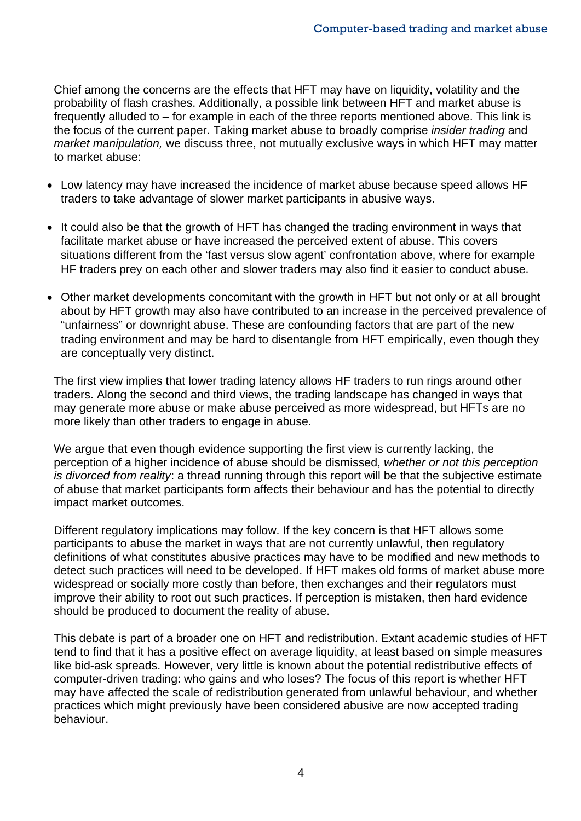Chief among the concerns are the effects that HFT may have on liquidity, volatility and the probability of flash crashes. Additionally, a possible link between HFT and market abuse is frequently alluded to – for example in each of the three reports mentioned above. This link is the focus of the current paper. Taking market abuse to broadly comprise *insider trading* and *market manipulation,* we discuss three, not mutually exclusive ways in which HFT may matter to market abuse:

- Low latency may have increased the incidence of market abuse because speed allows HF traders to take advantage of slower market participants in abusive ways.
- It could also be that the growth of HFT has changed the trading environment in ways that facilitate market abuse or have increased the perceived extent of abuse. This covers situations different from the 'fast versus slow agent' confrontation above, where for example HF traders prey on each other and slower traders may also find it easier to conduct abuse.
- Other market developments concomitant with the growth in HFT but not only or at all brought about by HFT growth may also have contributed to an increase in the perceived prevalence of "unfairness" or downright abuse. These are confounding factors that are part of the new trading environment and may be hard to disentangle from HFT empirically, even though they are conceptually very distinct.

The first view implies that lower trading latency allows HF traders to run rings around other traders. Along the second and third views, the trading landscape has changed in ways that may generate more abuse or make abuse perceived as more widespread, but HFTs are no more likely than other traders to engage in abuse.

We argue that even though evidence supporting the first view is currently lacking, the perception of a higher incidence of abuse should be dismissed, *whether or not this perception is divorced from reality*: a thread running through this report will be that the subjective estimate of abuse that market participants form affects their behaviour and has the potential to directly impact market outcomes.

Different regulatory implications may follow. If the key concern is that HFT allows some participants to abuse the market in ways that are not currently unlawful, then regulatory definitions of what constitutes abusive practices may have to be modified and new methods to detect such practices will need to be developed. If HFT makes old forms of market abuse more widespread or socially more costly than before, then exchanges and their regulators must improve their ability to root out such practices. If perception is mistaken, then hard evidence should be produced to document the reality of abuse.

This debate is part of a broader one on HFT and redistribution. Extant academic studies of HFT tend to find that it has a positive effect on average liquidity, at least based on simple measures like bid-ask spreads. However, very little is known about the potential redistributive effects of computer-driven trading: who gains and who loses? The focus of this report is whether HFT may have affected the scale of redistribution generated from unlawful behaviour, and whether practices which might previously have been considered abusive are now accepted trading behaviour.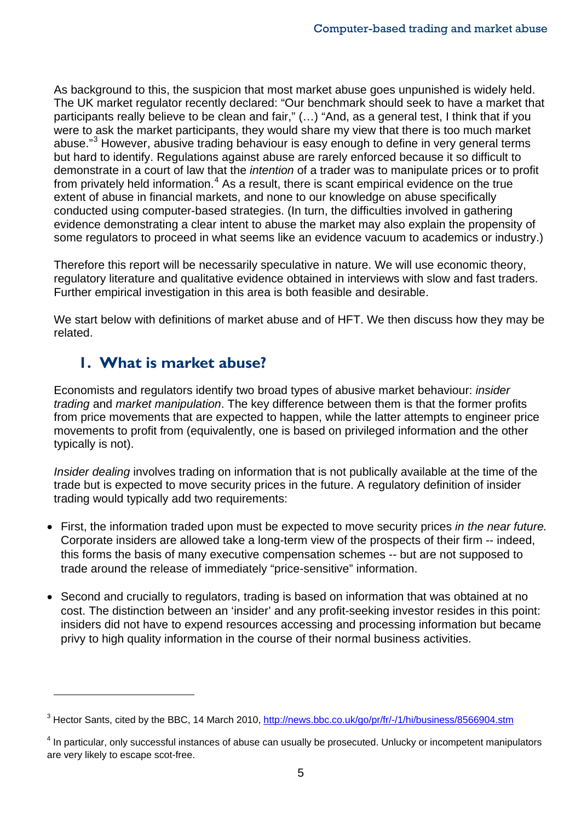As background to this, the suspicion that most market abuse goes unpunished is widely held. The UK market regulator recently declared: "Our benchmark should seek to have a market that participants really believe to be clean and fair," (…) "And, as a general test, I think that if you were to ask the market participants, they would share my view that there is too much market abuse."<sup>[3](#page-6-0)</sup> However, abusive trading behaviour is easy enough to define in very general terms but hard to identify. Regulations against abuse are rarely enforced because it so difficult to demonstrate in a court of law that the *intention* of a trader was to manipulate prices or to profit from privately held information.<sup>[4](#page-6-1)</sup> As a result, there is scant empirical evidence on the true extent of abuse in financial markets, and none to our knowledge on abuse specifically conducted using computer-based strategies. (In turn, the difficulties involved in gathering evidence demonstrating a clear intent to abuse the market may also explain the propensity of some regulators to proceed in what seems like an evidence vacuum to academics or industry.)

Therefore this report will be necessarily speculative in nature. We will use economic theory, regulatory literature and qualitative evidence obtained in interviews with slow and fast traders. Further empirical investigation in this area is both feasible and desirable.

We start below with definitions of market abuse and of HFT. We then discuss how they may be related.

# **1. What is market abuse?**

 $\overline{a}$ 

Economists and regulators identify two broad types of abusive market behaviour: *insider trading* and *market manipulation*. The key difference between them is that the former profits from price movements that are expected to happen, while the latter attempts to engineer price movements to profit from (equivalently, one is based on privileged information and the other typically is not).

*Insider dealing* involves trading on information that is not publically available at the time of the trade but is expected to move security prices in the future. A regulatory definition of insider trading would typically add two requirements:

- First, the information traded upon must be expected to move security prices *in the near future.*  Corporate insiders are allowed take a long-term view of the prospects of their firm -- indeed, this forms the basis of many executive compensation schemes -- but are not supposed to trade around the release of immediately "price-sensitive" information.
- Second and crucially to regulators, trading is based on information that was obtained at no cost. The distinction between an 'insider' and any profit-seeking investor resides in this point: insiders did not have to expend resources accessing and processing information but became privy to high quality information in the course of their normal business activities.

<span id="page-6-0"></span><sup>&</sup>lt;sup>3</sup> Hector Sants, cited by the BBC, 14 March 2010,<http://news.bbc.co.uk/go/pr/fr/-/1/hi/business/8566904.stm>

<span id="page-6-1"></span><sup>4</sup> In particular, only successful instances of abuse can usually be prosecuted. Unlucky or incompetent manipulators are very likely to escape scot-free.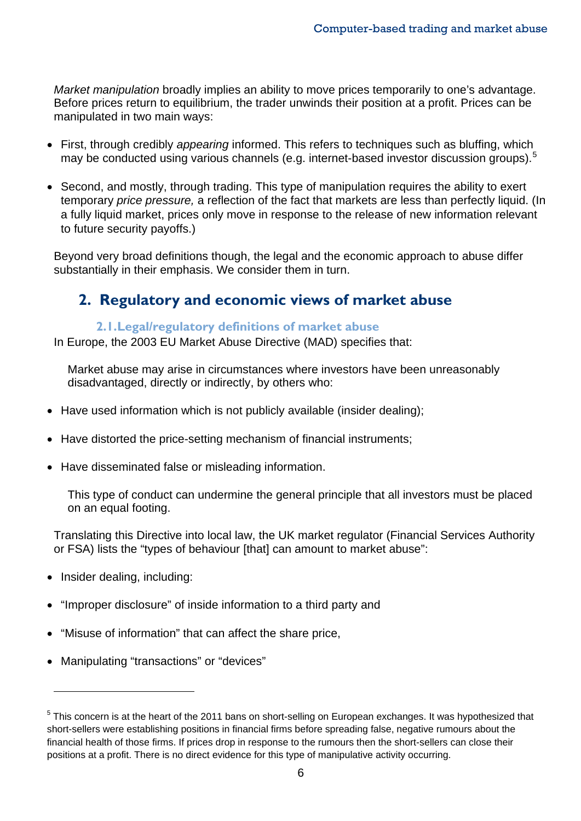*Market manipulation* broadly implies an ability to move prices temporarily to one's advantage. Before prices return to equilibrium, the trader unwinds their position at a profit. Prices can be manipulated in two main ways:

- First, through credibly *appearing* informed. This refers to techniques such as bluffing, which may be conducted using various channels (e.g. internet-based investor discussion groups).<sup>[5](#page-7-0)</sup>
- Second, and mostly, through trading. This type of manipulation requires the ability to exert temporary *price pressure,* a reflection of the fact that markets are less than perfectly liquid. (In a fully liquid market, prices only move in response to the release of new information relevant to future security payoffs.)

Beyond very broad definitions though, the legal and the economic approach to abuse differ substantially in their emphasis. We consider them in turn.

# **2. Regulatory and economic views of market abuse**

#### **2.1.Legal/regulatory definitions of market abuse**

In Europe, the 2003 EU Market Abuse Directive (MAD) specifies that:

Market abuse may arise in circumstances where investors have been unreasonably disadvantaged, directly or indirectly, by others who:

- Have used information which is not publicly available (insider dealing);
- Have distorted the price-setting mechanism of financial instruments;
- Have disseminated false or misleading information.

This type of conduct can undermine the general principle that all investors must be placed on an equal footing.

Translating this Directive into local law, the UK market regulator (Financial Services Authority or FSA) lists the "types of behaviour [that] can amount to market abuse":

• Insider dealing, including:

- "Improper disclosure" of inside information to a third party and
- "Misuse of information" that can affect the share price,
- Manipulating "transactions" or "devices"

<span id="page-7-0"></span> $5$  This concern is at the heart of the 2011 bans on short-selling on European exchanges. It was hypothesized that short-sellers were establishing positions in financial firms before spreading false, negative rumours about the financial health of those firms. If prices drop in response to the rumours then the short-sellers can close their positions at a profit. There is no direct evidence for this type of manipulative activity occurring.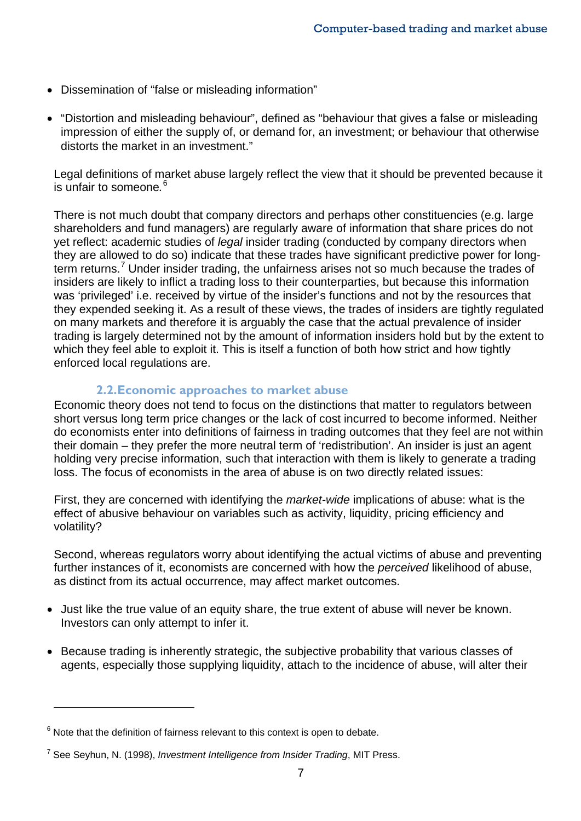- Dissemination of "false or misleading information"
- "Distortion and misleading behaviour", defined as "behaviour that gives a false or misleading impression of either the supply of, or demand for, an investment; or behaviour that otherwise distorts the market in an investment."

Legal definitions of market abuse largely reflect the view that it should be prevented because it is unfair to someone*.* [6](#page-8-0)

There is not much doubt that company directors and perhaps other constituencies (e.g. large shareholders and fund managers) are regularly aware of information that share prices do not yet reflect: academic studies of *legal* insider trading (conducted by company directors when they are allowed to do so) indicate that these trades have significant predictive power for long-term returns.<sup>[7](#page-8-1)</sup> Under insider trading, the unfairness arises not so much because the trades of insiders are likely to inflict a trading loss to their counterparties, but because this information was 'privileged' i.e. received by virtue of the insider's functions and not by the resources that they expended seeking it. As a result of these views, the trades of insiders are tightly regulated on many markets and therefore it is arguably the case that the actual prevalence of insider trading is largely determined not by the amount of information insiders hold but by the extent to which they feel able to exploit it. This is itself a function of both how strict and how tightly enforced local regulations are.

#### **2.2.Economic approaches to market abuse**

Economic theory does not tend to focus on the distinctions that matter to regulators between short versus long term price changes or the lack of cost incurred to become informed. Neither do economists enter into definitions of fairness in trading outcomes that they feel are not within their domain – they prefer the more neutral term of 'redistribution'. An insider is just an agent holding very precise information, such that interaction with them is likely to generate a trading loss. The focus of economists in the area of abuse is on two directly related issues:

First, they are concerned with identifying the *market-wide* implications of abuse: what is the effect of abusive behaviour on variables such as activity, liquidity, pricing efficiency and volatility?

Second, whereas regulators worry about identifying the actual victims of abuse and preventing further instances of it, economists are concerned with how the *perceived* likelihood of abuse, as distinct from its actual occurrence, may affect market outcomes.

- Just like the true value of an equity share, the true extent of abuse will never be known. Investors can only attempt to infer it.
- Because trading is inherently strategic, the subjective probability that various classes of agents, especially those supplying liquidity, attach to the incidence of abuse, will alter their

<span id="page-8-0"></span> $6$  Note that the definition of fairness relevant to this context is open to debate.

<span id="page-8-1"></span><sup>7</sup> See Seyhun, N. (1998), *Investment Intelligence from Insider Trading*, MIT Press.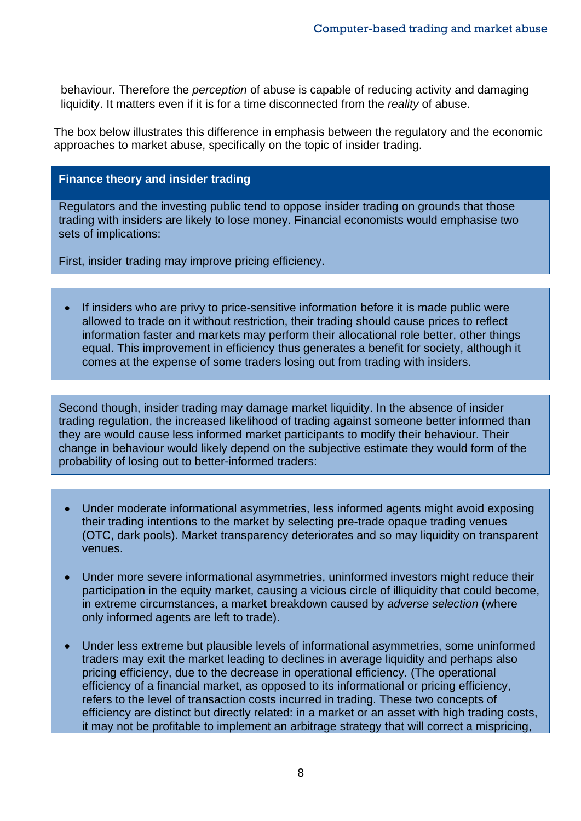behaviour. Therefore the *perception* of abuse is capable of reducing activity and damaging liquidity. It matters even if it is for a time disconnected from the *reality* of abuse.

The box below illustrates this difference in emphasis between the regulatory and the economic approaches to market abuse, specifically on the topic of insider trading.

#### **Finance theory and insider trading**

Regulators and the investing public tend to oppose insider trading on grounds that those trading with insiders are likely to lose money. Financial economists would emphasise two sets of implications:

First, insider trading may improve pricing efficiency.

If insiders who are privy to price-sensitive information before it is made public were allowed to trade on it without restriction, their trading should cause prices to reflect information faster and markets may perform their allocational role better, other things equal. This improvement in efficiency thus generates a benefit for society, although it comes at the expense of some traders losing out from trading with insiders.

Second though, insider trading may damage market liquidity. In the absence of insider trading regulation, the increased likelihood of trading against someone better informed than they are would cause less informed market participants to modify their behaviour. Their change in behaviour would likely depend on the subjective estimate they would form of the probability of losing out to better-informed traders:

- Under moderate informational asymmetries, less informed agents might avoid exposing their trading intentions to the market by selecting pre-trade opaque trading venues (OTC, dark pools). Market transparency deteriorates and so may liquidity on transparent venues.
- Under more severe informational asymmetries, uninformed investors might reduce their participation in the equity market, causing a vicious circle of illiquidity that could become, in extreme circumstances, a market breakdown caused by *adverse selection* (where only informed agents are left to trade).
- Under less extreme but plausible levels of informational asymmetries, some uninformed traders may exit the market leading to declines in average liquidity and perhaps also pricing efficiency, due to the decrease in operational efficiency. (The operational efficiency of a financial market, as opposed to its informational or pricing efficiency, refers to the level of transaction costs incurred in trading. These two concepts of efficiency are distinct but directly related: in a market or an asset with high trading costs, it may not be profitable to implement an arbitrage strategy that will correct a mispricing,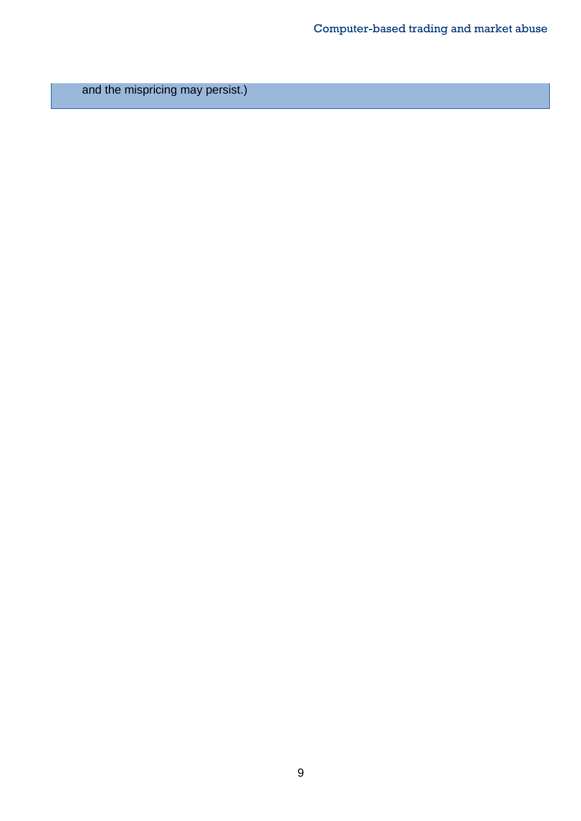and the mispricing may persist.)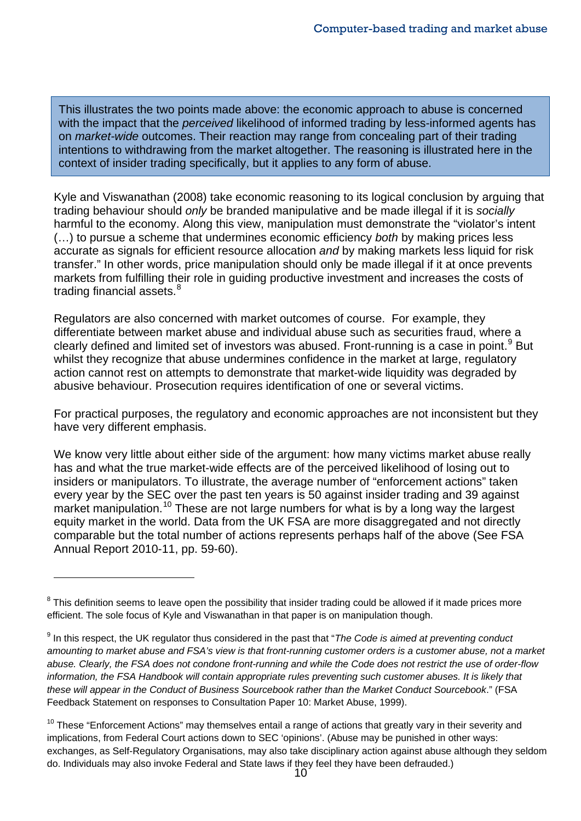This illustrates the two points made above: the economic approach to abuse is concerned with the impact that the *perceived* likelihood of informed trading by less-informed agents has on *market-wide* outcomes. Their reaction may range from concealing part of their trading intentions to withdrawing from the market altogether. The reasoning is illustrated here in the context of insider trading specifically, but it applies to any form of abuse.

Kyle and Viswanathan (2008) take economic reasoning to its logical conclusion by arguing that trading behaviour should *only* be branded manipulative and be made illegal if it is *socially* harmful to the economy. Along this view, manipulation must demonstrate the "violator's intent (…) to pursue a scheme that undermines economic efficiency *both* by making prices less accurate as signals for efficient resource allocation *and* by making markets less liquid for risk transfer." In other words, price manipulation should only be made illegal if it at once prevents markets from fulfilling their role in guiding productive investment and increases the costs of trading financial assets.<sup>[8](#page-11-0)</sup>

Regulators are also concerned with market outcomes of course. For example, they differentiate between market abuse and individual abuse such as securities fraud, where a clearly defined and limited set of investors was abused. Front-running is a case in point.<sup>[9](#page-11-1)</sup> But whilst they recognize that abuse undermines confidence in the market at large, regulatory action cannot rest on attempts to demonstrate that market-wide liquidity was degraded by abusive behaviour. Prosecution requires identification of one or several victims.

For practical purposes, the regulatory and economic approaches are not inconsistent but they have very different emphasis.

We know very little about either side of the argument: how many victims market abuse really has and what the true market-wide effects are of the perceived likelihood of losing out to insiders or manipulators. To illustrate, the average number of "enforcement actions" taken every year by the SEC over the past ten years is 50 against insider trading and 39 against market manipulation.<sup>[10](#page-11-2)</sup> These are not large numbers for what is by a long way the largest equity market in the world. Data from the UK FSA are more disaggregated and not directly comparable but the total number of actions represents perhaps half of the above (See FSA Annual Report 2010-11, pp. 59-60).

<span id="page-11-0"></span> $8$  This definition seems to leave open the possibility that insider trading could be allowed if it made prices more efficient. The sole focus of Kyle and Viswanathan in that paper is on manipulation though.

<span id="page-11-1"></span><sup>9</sup> In this respect, the UK regulator thus considered in the past that "*The Code is aimed at preventing conduct amounting to market abuse and FSA's view is that front-running customer orders is a customer abuse, not a market abuse. Clearly, the FSA does not condone front-running and while the Code does not restrict the use of order-flow information, the FSA Handbook will contain appropriate rules preventing such customer abuses. It is likely that these will appear in the Conduct of Business Sourcebook rather than the Market Conduct Sourcebook*." (FSA Feedback Statement on responses to Consultation Paper 10: Market Abuse, 1999).

<span id="page-11-2"></span> $10$  These "Enforcement Actions" may themselves entail a range of actions that greatly vary in their severity and implications, from Federal Court actions down to SEC 'opinions'. (Abuse may be punished in other ways: exchanges, as Self-Regulatory Organisations, may also take disciplinary action against abuse although they seldom do. Individuals may also invoke Federal and State laws if they feel they have been defrauded.)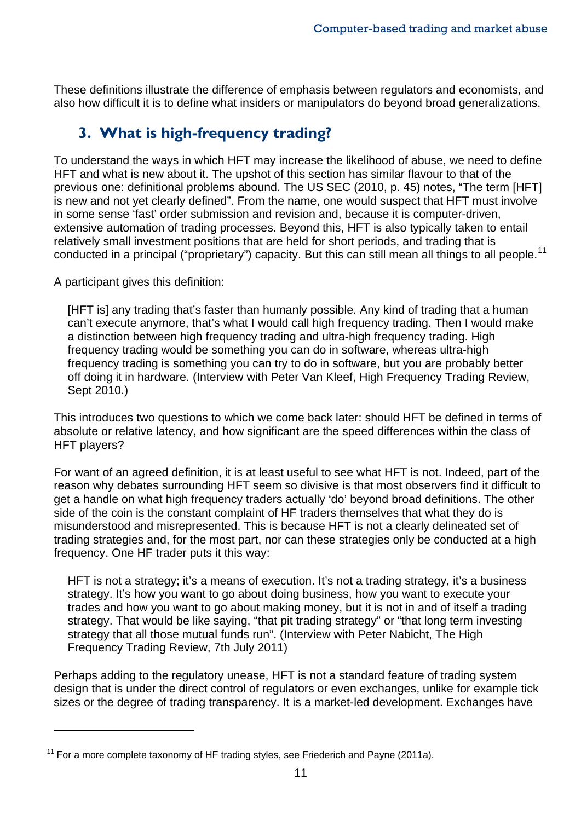These definitions illustrate the difference of emphasis between regulators and economists, and also how difficult it is to define what insiders or manipulators do beyond broad generalizations.

# **3. What is high-frequency trading?**

To understand the ways in which HFT may increase the likelihood of abuse, we need to define HFT and what is new about it. The upshot of this section has similar flavour to that of the previous one: definitional problems abound. The US SEC (2010, p. 45) notes, "The term [HFT] is new and not yet clearly defined". From the name, one would suspect that HFT must involve in some sense 'fast' order submission and revision and, because it is computer-driven, extensive automation of trading processes. Beyond this, HFT is also typically taken to entail relatively small investment positions that are held for short periods, and trading that is conducted in a principal ("proprietary") capacity. But this can still mean all things to all people.<sup>[11](#page-12-0)</sup>

A participant gives this definition:

 $\overline{a}$ 

[HFT is] any trading that's faster than humanly possible. Any kind of trading that a human can't execute anymore, that's what I would call high frequency trading. Then I would make a distinction between high frequency trading and ultra-high frequency trading. High frequency trading would be something you can do in software, whereas ultra-high frequency trading is something you can try to do in software, but you are probably better off doing it in hardware. (Interview with Peter Van Kleef, High Frequency Trading Review, Sept 2010.)

This introduces two questions to which we come back later: should HFT be defined in terms of absolute or relative latency, and how significant are the speed differences within the class of HFT players?

For want of an agreed definition, it is at least useful to see what HFT is not. Indeed, part of the reason why debates surrounding HFT seem so divisive is that most observers find it difficult to get a handle on what high frequency traders actually 'do' beyond broad definitions. The other side of the coin is the constant complaint of HF traders themselves that what they do is misunderstood and misrepresented. This is because HFT is not a clearly delineated set of trading strategies and, for the most part, nor can these strategies only be conducted at a high frequency. One HF trader puts it this way:

HFT is not a strategy; it's a means of execution. It's not a trading strategy, it's a business strategy. It's how you want to go about doing business, how you want to execute your trades and how you want to go about making money, but it is not in and of itself a trading strategy. That would be like saying, "that pit trading strategy" or "that long term investing strategy that all those mutual funds run". (Interview with Peter Nabicht, The High Frequency Trading Review, 7th July 2011)

Perhaps adding to the regulatory unease, HFT is not a standard feature of trading system design that is under the direct control of regulators or even exchanges, unlike for example tick sizes or the degree of trading transparency. It is a market-led development. Exchanges have

<span id="page-12-0"></span> $11$  For a more complete taxonomy of HF trading styles, see Friederich and Payne (2011a).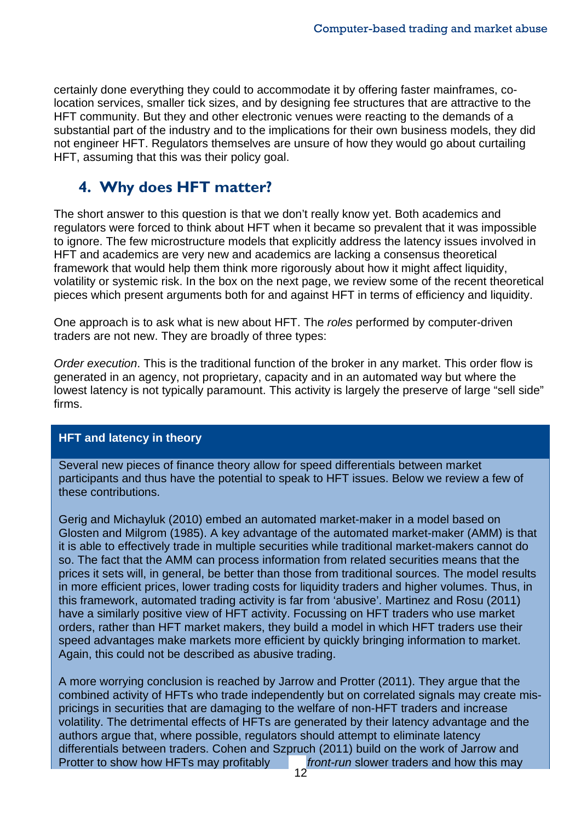certainly done everything they could to accommodate it by offering faster mainframes, colocation services, smaller tick sizes, and by designing fee structures that are attractive to the HFT community. But they and other electronic venues were reacting to the demands of a substantial part of the industry and to the implications for their own business models, they did not engineer HFT. Regulators themselves are unsure of how they would go about curtailing HFT, assuming that this was their policy goal.

# **4. Why does HFT matter?**

The short answer to this question is that we don't really know yet. Both academics and regulators were forced to think about HFT when it became so prevalent that it was impossible to ignore. The few microstructure models that explicitly address the latency issues involved in HFT and academics are very new and academics are lacking a consensus theoretical framework that would help them think more rigorously about how it might affect liquidity, volatility or systemic risk. In the box on the next page, we review some of the recent theoretical pieces which present arguments both for and against HFT in terms of efficiency and liquidity.

One approach is to ask what is new about HFT. The *roles* performed by computer-driven traders are not new. They are broadly of three types:

*Order execution*. This is the traditional function of the broker in any market. This order flow is generated in an agency, not proprietary, capacity and in an automated way but where the lowest latency is not typically paramount. This activity is largely the preserve of large "sell side" firms.

#### **HFT and latency in theory**

Several new pieces of finance theory allow for speed differentials between market participants and thus have the potential to speak to HFT issues. Below we review a few of these contributions.

Gerig and Michayluk (2010) embed an automated market-maker in a model based on Glosten and Milgrom (1985). A key advantage of the automated market-maker (AMM) is that it is able to effectively trade in multiple securities while traditional market-makers cannot do so. The fact that the AMM can process information from related securities means that the prices it sets will, in general, be better than those from traditional sources. The model results in more efficient prices, lower trading costs for liquidity traders and higher volumes. Thus, in this framework, automated trading activity is far from 'abusive'. Martinez and Rosu (2011) have a similarly positive view of HFT activity. Focussing on HFT traders who use market orders, rather than HFT market makers, they build a model in which HFT traders use their speed advantages make markets more efficient by quickly bringing information to market. Again, this could not be described as abusive trading.

A more worrying conclusion is reached by Jarrow and Protter (2011). They argue that the combined activity of HFTs who trade independently but on correlated signals may create mispricings in securities that are damaging to the welfare of non-HFT traders and increase volatility. The detrimental effects of HFTs are generated by their latency advantage and the authors argue that, where possible, regulators should attempt to eliminate latency differentials between traders. Cohen and Szpruch (2011) build on the work of Jarrow and Protter to show how HFTs may profitably *front-run* slower traders and how this may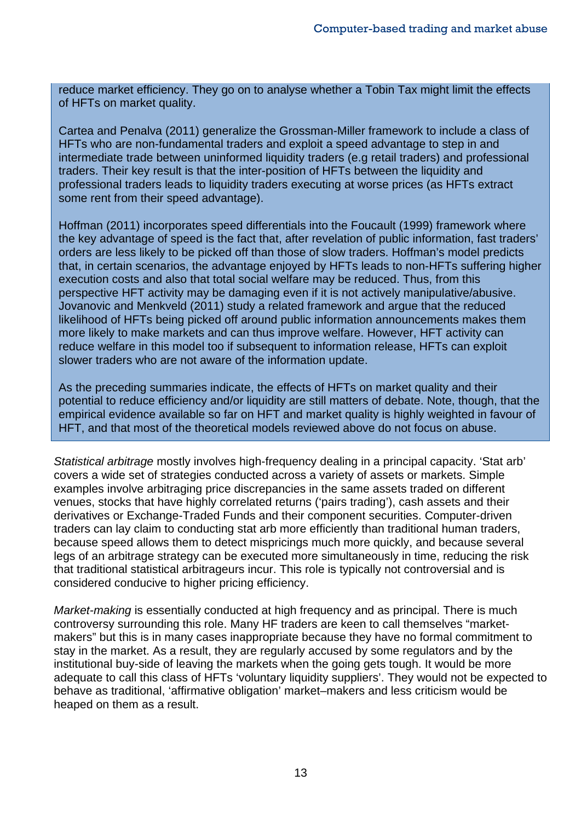reduce market efficiency. They go on to analyse whether a Tobin Tax might limit the effects of HFTs on market quality.

Cartea and Penalva (2011) generalize the Grossman-Miller framework to include a class of HFTs who are non-fundamental traders and exploit a speed advantage to step in and intermediate trade between uninformed liquidity traders (e.g retail traders) and professional traders. Their key result is that the inter-position of HFTs between the liquidity and professional traders leads to liquidity traders executing at worse prices (as HFTs extract some rent from their speed advantage).

Hoffman (2011) incorporates speed differentials into the Foucault (1999) framework where the key advantage of speed is the fact that, after revelation of public information, fast traders' orders are less likely to be picked off than those of slow traders. Hoffman's model predicts that, in certain scenarios, the advantage enjoyed by HFTs leads to non-HFTs suffering higher execution costs and also that total social welfare may be reduced. Thus, from this perspective HFT activity may be damaging even if it is not actively manipulative/abusive. Jovanovic and Menkveld (2011) study a related framework and argue that the reduced likelihood of HFTs being picked off around public information announcements makes them more likely to make markets and can thus improve welfare. However, HFT activity can reduce welfare in this model too if subsequent to information release, HFTs can exploit slower traders who are not aware of the information update.

As the preceding summaries indicate, the effects of HFTs on market quality and their potential to reduce efficiency and/or liquidity are still matters of debate. Note, though, that the empirical evidence available so far on HFT and market quality is highly weighted in favour of HFT, and that most of the theoretical models reviewed above do not focus on abuse.

*Statistical arbitrage* mostly involves high-frequency dealing in a principal capacity. 'Stat arb' covers a wide set of strategies conducted across a variety of assets or markets. Simple examples involve arbitraging price discrepancies in the same assets traded on different venues, stocks that have highly correlated returns ('pairs trading'), cash assets and their derivatives or Exchange-Traded Funds and their component securities. Computer-driven traders can lay claim to conducting stat arb more efficiently than traditional human traders, because speed allows them to detect mispricings much more quickly, and because several legs of an arbitrage strategy can be executed more simultaneously in time, reducing the risk that traditional statistical arbitrageurs incur. This role is typically not controversial and is considered conducive to higher pricing efficiency.

*Market-making* is essentially conducted at high frequency and as principal. There is much controversy surrounding this role. Many HF traders are keen to call themselves "marketmakers" but this is in many cases inappropriate because they have no formal commitment to stay in the market. As a result, they are regularly accused by some regulators and by the institutional buy-side of leaving the markets when the going gets tough. It would be more adequate to call this class of HFTs 'voluntary liquidity suppliers'. They would not be expected to behave as traditional, 'affirmative obligation' market–makers and less criticism would be heaped on them as a result.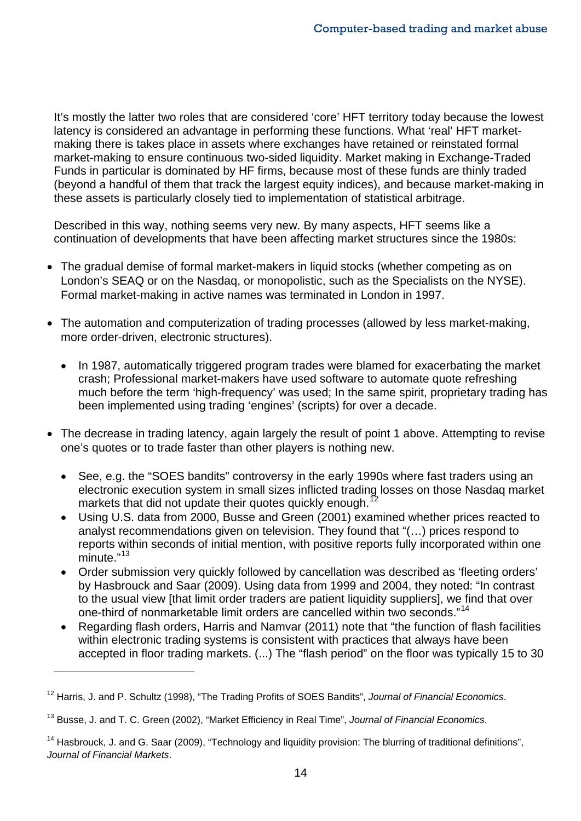It's mostly the latter two roles that are considered 'core' HFT territory today because the lowest latency is considered an advantage in performing these functions. What 'real' HFT marketmaking there is takes place in assets where exchanges have retained or reinstated formal market-making to ensure continuous two-sided liquidity. Market making in Exchange-Traded Funds in particular is dominated by HF firms, because most of these funds are thinly traded (beyond a handful of them that track the largest equity indices), and because market-making in these assets is particularly closely tied to implementation of statistical arbitrage.

Described in this way, nothing seems very new. By many aspects, HFT seems like a continuation of developments that have been affecting market structures since the 1980s:

- The gradual demise of formal market-makers in liquid stocks (whether competing as on London's SEAQ or on the Nasdaq, or monopolistic, such as the Specialists on the NYSE). Formal market-making in active names was terminated in London in 1997.
- The automation and computerization of trading processes (allowed by less market-making, more order-driven, electronic structures).
	- In 1987, automatically triggered program trades were blamed for exacerbating the market crash; Professional market-makers have used software to automate quote refreshing much before the term 'high-frequency' was used; In the same spirit, proprietary trading has been implemented using trading 'engines' (scripts) for over a decade.
- The decrease in trading latency, again largely the result of point 1 above. Attempting to revise one's quotes or to trade faster than other players is nothing new.
	- See, e.g. the "SOES bandits" controversy in the early 1990s where fast traders using an electronic execution system in small sizes inflicted trading losses on those Nasdaq market markets that did not update their quotes quickly enough.<sup>1</sup>
	- Using U.S. data from 2000, Busse and Green (2001) examined whether prices reacted to analyst recommendations given on television. They found that "(…) prices respond to reports within seconds of initial mention, with positive reports fully incorporated within one minute."<sup>[13](#page-15-1)</sup>
	- Order submission very quickly followed by cancellation was described as 'fleeting orders' by Hasbrouck and Saar (2009). Using data from 1999 and 2004, they noted: "In contrast to the usual view [that limit order traders are patient liquidity suppliers], we find that over one-third of nonmarketable limit orders are cancelled within two seconds."<sup>[14](#page-15-2)</sup>
	- Regarding flash orders, Harris and Namvar (2011) note that "the function of flash facilities within electronic trading systems is consistent with practices that always have been accepted in floor trading markets. (...) The "flash period" on the floor was typically 15 to 30

<span id="page-15-0"></span><sup>12</sup> Harris, J. and P. Schultz (1998), "The Trading Profits of SOES Bandits", *Journal of Financial Economics*.

<span id="page-15-1"></span><sup>13</sup> Busse, J. and T. C. Green (2002), "Market Efficiency in Real Time", *Journal of Financial Economics*.

<span id="page-15-2"></span><sup>&</sup>lt;sup>14</sup> Hasbrouck, J. and G. Saar (2009), "Technology and liquidity provision: The blurring of traditional definitions", *Journal of Financial Markets*.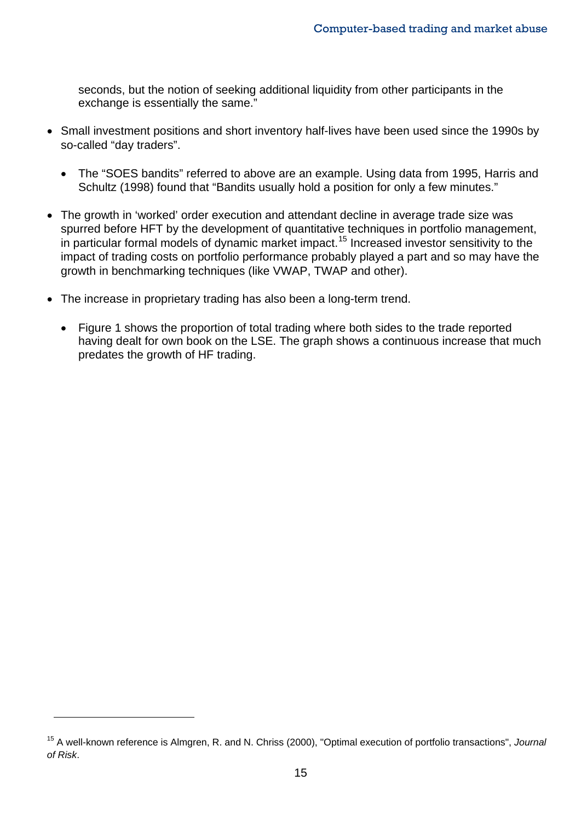seconds, but the notion of seeking additional liquidity from other participants in the exchange is essentially the same."

- Small investment positions and short inventory half-lives have been used since the 1990s by so-called "day traders".
	- The "SOES bandits" referred to above are an example. Using data from 1995, Harris and Schultz (1998) found that "Bandits usually hold a position for only a few minutes."
- The growth in 'worked' order execution and attendant decline in average trade size was spurred before HFT by the development of quantitative techniques in portfolio management, in particular formal models of dynamic market impact.<sup>[15](#page-16-0)</sup> Increased investor sensitivity to the impact of trading costs on portfolio performance probably played a part and so may have the growth in benchmarking techniques (like VWAP, TWAP and other).
- The increase in proprietary trading has also been a long-term trend.
	- Figure 1 shows the proportion of total trading where both sides to the trade reported having dealt for own book on the LSE. The graph shows a continuous increase that much predates the growth of HF trading.

<span id="page-16-0"></span><sup>15</sup> A well-known reference is Almgren, R. and N. Chriss (2000), "Optimal execution of portfolio transactions", *Journal of Risk*.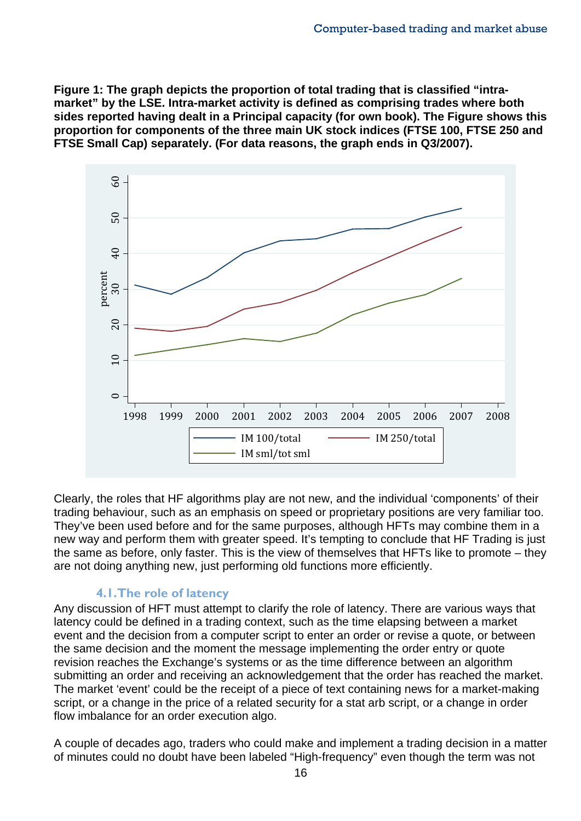**Figure 1: The graph depicts the proportion of total trading that is classified "intramarket" by the LSE. Intra-market activity is defined as comprising trades where both sides reported having dealt in a Principal capacity (for own book). The Figure shows this proportion for components of the three main UK stock indices (FTSE 100, FTSE 250 and FTSE Small Cap) separately. (For data reasons, the graph ends in Q3/2007).**



Clearly, the roles that HF algorithms play are not new, and the individual 'components' of their trading behaviour, such as an emphasis on speed or proprietary positions are very familiar too. They've been used before and for the same purposes, although HFTs may combine them in a new way and perform them with greater speed. It's tempting to conclude that HF Trading is just the same as before, only faster. This is the view of themselves that HFTs like to promote – they are not doing anything new, just performing old functions more efficiently.

#### **4.1.The role of latency**

Any discussion of HFT must attempt to clarify the role of latency. There are various ways that latency could be defined in a trading context, such as the time elapsing between a market event and the decision from a computer script to enter an order or revise a quote, or between the same decision and the moment the message implementing the order entry or quote revision reaches the Exchange's systems or as the time difference between an algorithm submitting an order and receiving an acknowledgement that the order has reached the market. The market 'event' could be the receipt of a piece of text containing news for a market-making script, or a change in the price of a related security for a stat arb script, or a change in order flow imbalance for an order execution algo.

A couple of decades ago, traders who could make and implement a trading decision in a matter of minutes could no doubt have been labeled "High-frequency" even though the term was not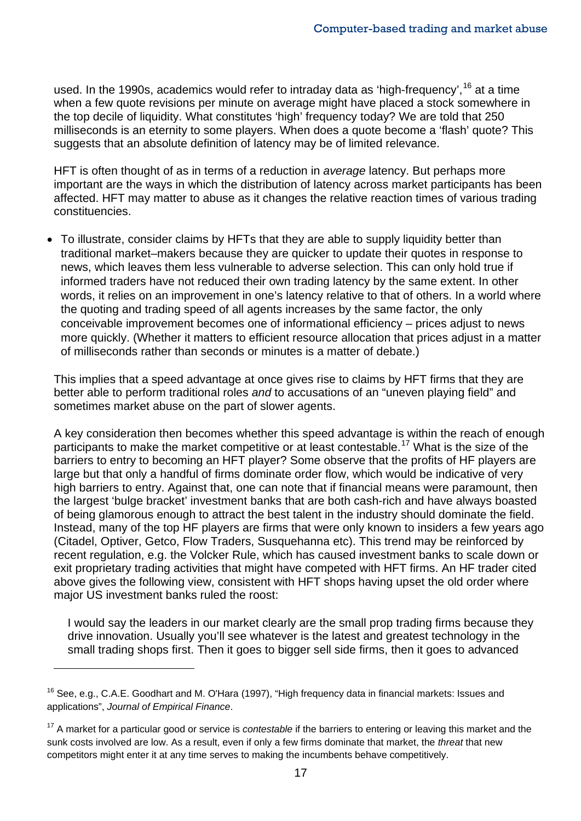used. In the 1990s, academics would refer to intraday data as 'high-frequency', <sup>[16](#page-18-0)</sup> at a time when a few quote revisions per minute on average might have placed a stock somewhere in the top decile of liquidity. What constitutes 'high' frequency today? We are told that 250 milliseconds is an eternity to some players. When does a quote become a 'flash' quote? This suggests that an absolute definition of latency may be of limited relevance.

HFT is often thought of as in terms of a reduction in *average* latency. But perhaps more important are the ways in which the distribution of latency across market participants has been affected. HFT may matter to abuse as it changes the relative reaction times of various trading constituencies.

• To illustrate, consider claims by HFTs that they are able to supply liquidity better than traditional market–makers because they are quicker to update their quotes in response to news, which leaves them less vulnerable to adverse selection. This can only hold true if informed traders have not reduced their own trading latency by the same extent. In other words, it relies on an improvement in one's latency relative to that of others. In a world where the quoting and trading speed of all agents increases by the same factor, the only conceivable improvement becomes one of informational efficiency – prices adjust to news more quickly. (Whether it matters to efficient resource allocation that prices adjust in a matter of milliseconds rather than seconds or minutes is a matter of debate.)

This implies that a speed advantage at once gives rise to claims by HFT firms that they are better able to perform traditional roles *and* to accusations of an "uneven playing field" and sometimes market abuse on the part of slower agents.

A key consideration then becomes whether this speed advantage is within the reach of enough participants to make the market competitive or at least contestable.<sup>[17](#page-18-1)</sup> What is the size of the barriers to entry to becoming an HFT player? Some observe that the profits of HF players are large but that only a handful of firms dominate order flow, which would be indicative of very high barriers to entry. Against that, one can note that if financial means were paramount, then the largest 'bulge bracket' investment banks that are both cash-rich and have always boasted of being glamorous enough to attract the best talent in the industry should dominate the field. Instead, many of the top HF players are firms that were only known to insiders a few years ago (Citadel, Optiver, Getco, Flow Traders, Susquehanna etc). This trend may be reinforced by recent regulation, e.g. the Volcker Rule, which has caused investment banks to scale down or exit proprietary trading activities that might have competed with HFT firms. An HF trader cited above gives the following view, consistent with HFT shops having upset the old order where major US investment banks ruled the roost:

I would say the leaders in our market clearly are the small prop trading firms because they drive innovation. Usually you'll see whatever is the latest and greatest technology in the small trading shops first. Then it goes to bigger sell side firms, then it goes to advanced

<span id="page-18-0"></span><sup>16</sup> See, e.g., C.A.E. Goodhart and M. O'Hara (1997), "High frequency data in financial markets: Issues and applications", *Journal of Empirical Finance*.

<span id="page-18-1"></span><sup>&</sup>lt;sup>17</sup> A market for a particular good or service is *contestable* if the barriers to entering or leaving this market and the sunk costs involved are low. As a result, even if only a few firms dominate that market, the *threat* that new competitors might enter it at any time serves to making the incumbents behave competitively.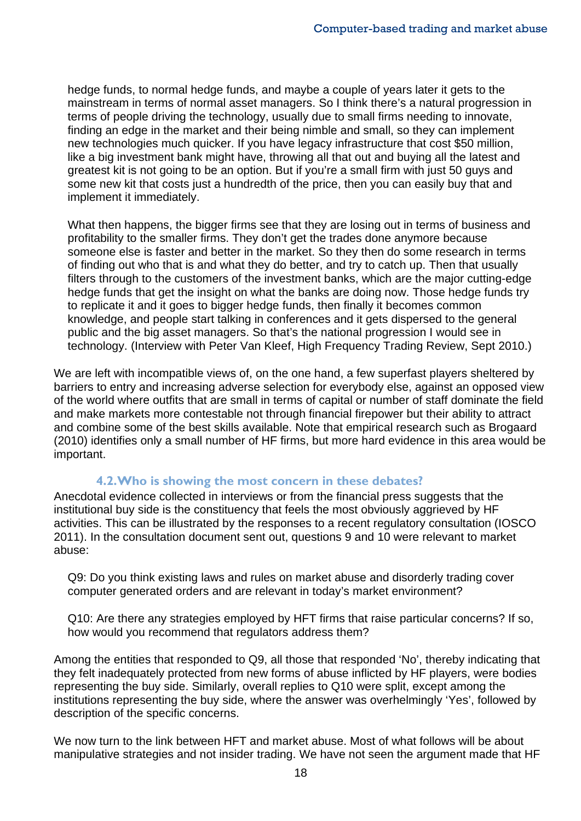hedge funds, to normal hedge funds, and maybe a couple of years later it gets to the mainstream in terms of normal asset managers. So I think there's a natural progression in terms of people driving the technology, usually due to small firms needing to innovate, finding an edge in the market and their being nimble and small, so they can implement new technologies much quicker. If you have legacy infrastructure that cost \$50 million, like a big investment bank might have, throwing all that out and buying all the latest and greatest kit is not going to be an option. But if you're a small firm with just 50 guys and some new kit that costs just a hundredth of the price, then you can easily buy that and implement it immediately.

What then happens, the bigger firms see that they are losing out in terms of business and profitability to the smaller firms. They don't get the trades done anymore because someone else is faster and better in the market. So they then do some research in terms of finding out who that is and what they do better, and try to catch up. Then that usually filters through to the customers of the investment banks, which are the major cutting-edge hedge funds that get the insight on what the banks are doing now. Those hedge funds try to replicate it and it goes to bigger hedge funds, then finally it becomes common knowledge, and people start talking in conferences and it gets dispersed to the general public and the big asset managers. So that's the national progression I would see in technology. (Interview with Peter Van Kleef, High Frequency Trading Review, Sept 2010.)

We are left with incompatible views of, on the one hand, a few superfast players sheltered by barriers to entry and increasing adverse selection for everybody else, against an opposed view of the world where outfits that are small in terms of capital or number of staff dominate the field and make markets more contestable not through financial firepower but their ability to attract and combine some of the best skills available. Note that empirical research such as Brogaard (2010) identifies only a small number of HF firms, but more hard evidence in this area would be important.

#### **4.2.Who is showing the most concern in these debates?**

Anecdotal evidence collected in interviews or from the financial press suggests that the institutional buy side is the constituency that feels the most obviously aggrieved by HF activities. This can be illustrated by the responses to a recent regulatory consultation (IOSCO 2011). In the consultation document sent out, questions 9 and 10 were relevant to market abuse:

Q9: Do you think existing laws and rules on market abuse and disorderly trading cover computer generated orders and are relevant in today's market environment?

Q10: Are there any strategies employed by HFT firms that raise particular concerns? If so, how would you recommend that regulators address them?

Among the entities that responded to Q9, all those that responded 'No', thereby indicating that they felt inadequately protected from new forms of abuse inflicted by HF players, were bodies representing the buy side. Similarly, overall replies to Q10 were split, except among the institutions representing the buy side, where the answer was overhelmingly 'Yes', followed by description of the specific concerns.

We now turn to the link between HFT and market abuse. Most of what follows will be about manipulative strategies and not insider trading. We have not seen the argument made that HF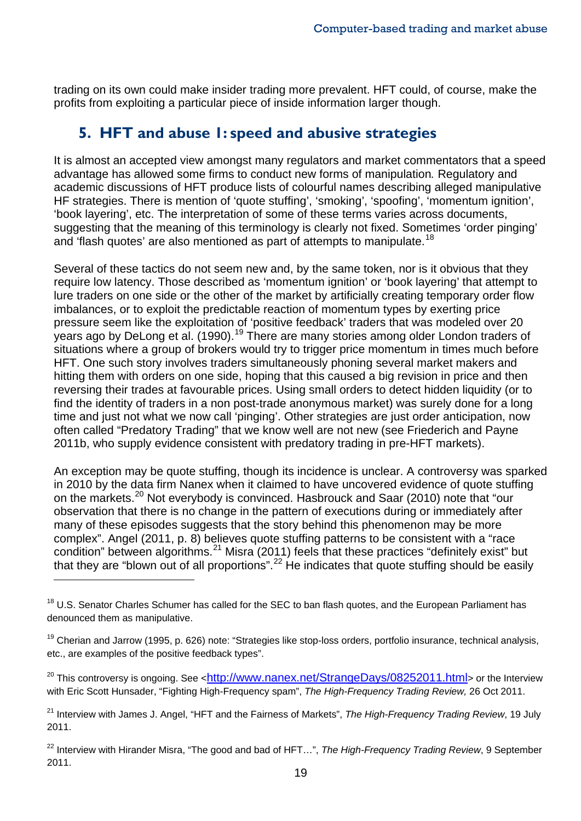trading on its own could make insider trading more prevalent. HFT could, of course, make the profits from exploiting a particular piece of inside information larger though.

# **5. HFT and abuse 1: speed and abusive strategies**

It is almost an accepted view amongst many regulators and market commentators that a speed advantage has allowed some firms to conduct new forms of manipulation*.* Regulatory and academic discussions of HFT produce lists of colourful names describing alleged manipulative HF strategies. There is mention of 'quote stuffing', 'smoking', 'spoofing', 'momentum ignition', 'book layering', etc. The interpretation of some of these terms varies across documents, suggesting that the meaning of this terminology is clearly not fixed. Sometimes 'order pinging' and 'flash quotes' are also mentioned as part of attempts to manipulate.<sup>[18](#page-20-0)</sup>

Several of these tactics do not seem new and, by the same token, nor is it obvious that they require low latency. Those described as 'momentum ignition' or 'book layering' that attempt to lure traders on one side or the other of the market by artificially creating temporary order flow imbalances, or to exploit the predictable reaction of momentum types by exerting price pressure seem like the exploitation of 'positive feedback' traders that was modeled over 20 years ago by DeLong et al. ([19](#page-20-1)90).<sup>19</sup> There are many stories among older London traders of situations where a group of brokers would try to trigger price momentum in times much before HFT. One such story involves traders simultaneously phoning several market makers and hitting them with orders on one side, hoping that this caused a big revision in price and then reversing their trades at favourable prices. Using small orders to detect hidden liquidity (or to find the identity of traders in a non post-trade anonymous market) was surely done for a long time and just not what we now call 'pinging'. Other strategies are just order anticipation, now often called "Predatory Trading" that we know well are not new (see Friederich and Payne 2011b, who supply evidence consistent with predatory trading in pre-HFT markets).

An exception may be quote stuffing, though its incidence is unclear. A controversy was sparked in 2010 by the data firm Nanex when it claimed to have uncovered evidence of quote stuffing on the markets.<sup>[20](#page-20-2)</sup> Not everybody is convinced. Hasbrouck and Saar (2010) note that "our observation that there is no change in the pattern of executions during or immediately after many of these episodes suggests that the story behind this phenomenon may be more complex". Angel (2011, p. 8) believes quote stuffing patterns to be consistent with a "race condition" between algorithms. $^{21}$  $^{21}$  $^{21}$  Misra (2011) feels that these practices "definitely exist" but that they are "blown out of all proportions".<sup>[22](#page-20-4)</sup> He indicates that quote stuffing should be easily

 $\overline{a}$ 

<span id="page-20-2"></span><sup>20</sup> This controversy is ongoing. See [<http://www.nanex.net/StrangeDays/08252011.html>](http://www.nanex.net/StrangeDays/08252011.html) or the Interview with Eric Scott Hunsader, "Fighting High-Frequency spam", *The High-Frequency Trading Review,* 26 Oct 2011.

<span id="page-20-0"></span><sup>&</sup>lt;sup>18</sup> U.S. Senator Charles Schumer has called for the SEC to ban flash quotes, and the European Parliament has denounced them as manipulative.

<span id="page-20-1"></span><sup>&</sup>lt;sup>19</sup> Cherian and Jarrow (1995, p. 626) note: "Strategies like stop-loss orders, portfolio insurance, technical analysis, etc., are examples of the positive feedback types".

<span id="page-20-3"></span><sup>21</sup> Interview with James J. Angel, "HFT and the Fairness of Markets", *The High-Frequency Trading Review*, 19 July 2011.

<span id="page-20-4"></span><sup>22</sup> Interview with Hirander Misra, "The good and bad of HFT…", *The High-Frequency Trading Review*, 9 September 2011.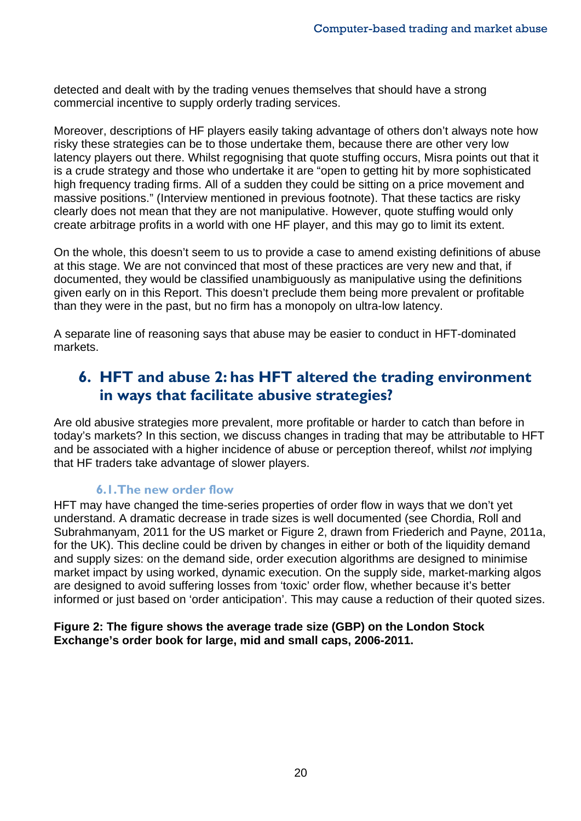detected and dealt with by the trading venues themselves that should have a strong commercial incentive to supply orderly trading services.

Moreover, descriptions of HF players easily taking advantage of others don't always note how risky these strategies can be to those undertake them, because there are other very low latency players out there. Whilst regognising that quote stuffing occurs, Misra points out that it is a crude strategy and those who undertake it are "open to getting hit by more sophisticated high frequency trading firms. All of a sudden they could be sitting on a price movement and massive positions." (Interview mentioned in previous footnote). That these tactics are risky clearly does not mean that they are not manipulative. However, quote stuffing would only create arbitrage profits in a world with one HF player, and this may go to limit its extent.

On the whole, this doesn't seem to us to provide a case to amend existing definitions of abuse at this stage. We are not convinced that most of these practices are very new and that, if documented, they would be classified unambiguously as manipulative using the definitions given early on in this Report. This doesn't preclude them being more prevalent or profitable than they were in the past, but no firm has a monopoly on ultra-low latency.

A separate line of reasoning says that abuse may be easier to conduct in HFT-dominated markets.

# **6. HFT and abuse 2: has HFT altered the trading environment in ways that facilitate abusive strategies?**

Are old abusive strategies more prevalent, more profitable or harder to catch than before in today's markets? In this section, we discuss changes in trading that may be attributable to HFT and be associated with a higher incidence of abuse or perception thereof, whilst *not* implying that HF traders take advantage of slower players.

#### **6.1.The new order flow**

HFT may have changed the time-series properties of order flow in ways that we don't yet understand. A dramatic decrease in trade sizes is well documented (see Chordia, Roll and Subrahmanyam, 2011 for the US market or Figure 2, drawn from Friederich and Payne, 2011a, for the UK). This decline could be driven by changes in either or both of the liquidity demand and supply sizes: on the demand side, order execution algorithms are designed to minimise market impact by using worked, dynamic execution. On the supply side, market-marking algos are designed to avoid suffering losses from 'toxic' order flow, whether because it's better informed or just based on 'order anticipation'. This may cause a reduction of their quoted sizes.

#### **Figure 2: The figure shows the average trade size (GBP) on the London Stock Exchange's order book for large, mid and small caps, 2006-2011.**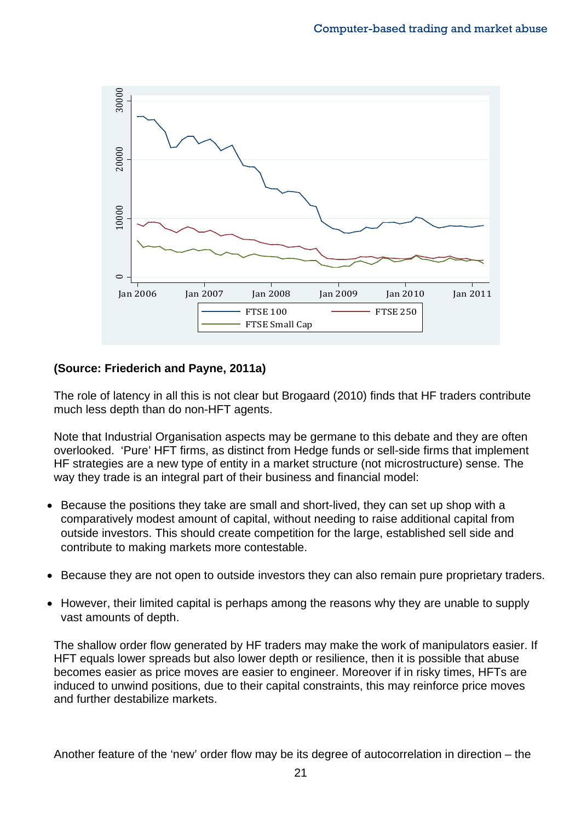

#### **(Source: Friederich and Payne, 2011a)**

The role of latency in all this is not clear but Brogaard (2010) finds that HF traders contribute much less depth than do non-HFT agents.

Note that Industrial Organisation aspects may be germane to this debate and they are often overlooked. 'Pure' HFT firms, as distinct from Hedge funds or sell-side firms that implement HF strategies are a new type of entity in a market structure (not microstructure) sense. The way they trade is an integral part of their business and financial model:

- Because the positions they take are small and short-lived, they can set up shop with a comparatively modest amount of capital, without needing to raise additional capital from outside investors. This should create competition for the large, established sell side and contribute to making markets more contestable.
- Because they are not open to outside investors they can also remain pure proprietary traders.
- However, their limited capital is perhaps among the reasons why they are unable to supply vast amounts of depth.

The shallow order flow generated by HF traders may make the work of manipulators easier. If HFT equals lower spreads but also lower depth or resilience, then it is possible that abuse becomes easier as price moves are easier to engineer. Moreover if in risky times, HFTs are induced to unwind positions, due to their capital constraints, this may reinforce price moves and further destabilize markets.

Another feature of the 'new' order flow may be its degree of autocorrelation in direction – the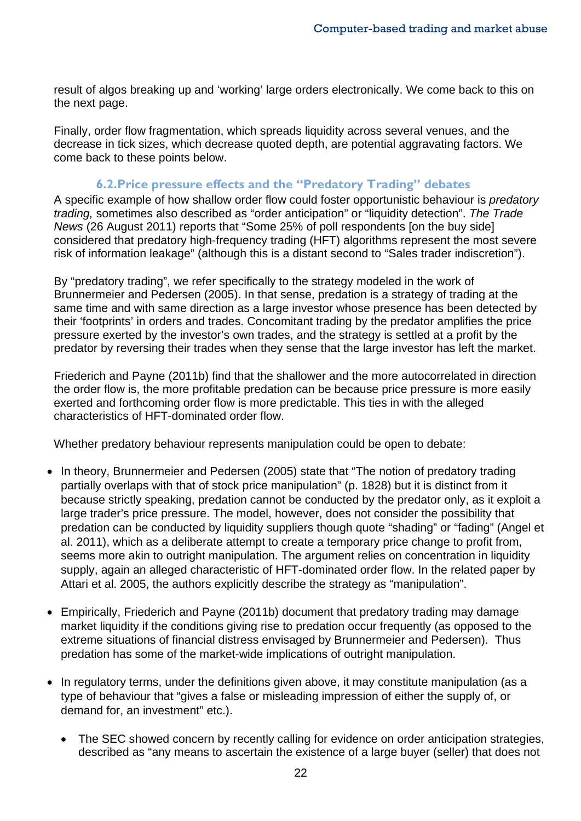result of algos breaking up and 'working' large orders electronically. We come back to this on the next page.

Finally, order flow fragmentation, which spreads liquidity across several venues, and the decrease in tick sizes, which decrease quoted depth, are potential aggravating factors. We come back to these points below.

#### **6.2.Price pressure effects and the "Predatory Trading" debates**

A specific example of how shallow order flow could foster opportunistic behaviour is *predatory trading,* sometimes also described as "order anticipation" or "liquidity detection". *The Trade News* (26 August 2011) reports that "Some 25% of poll respondents [on the buy side] considered that predatory high-frequency trading (HFT) algorithms represent the most severe risk of information leakage" (although this is a distant second to "Sales trader indiscretion").

By "predatory trading", we refer specifically to the strategy modeled in the work of Brunnermeier and Pedersen (2005). In that sense, predation is a strategy of trading at the same time and with same direction as a large investor whose presence has been detected by their 'footprints' in orders and trades. Concomitant trading by the predator amplifies the price pressure exerted by the investor's own trades, and the strategy is settled at a profit by the predator by reversing their trades when they sense that the large investor has left the market.

Friederich and Payne (2011b) find that the shallower and the more autocorrelated in direction the order flow is, the more profitable predation can be because price pressure is more easily exerted and forthcoming order flow is more predictable. This ties in with the alleged characteristics of HFT-dominated order flow.

Whether predatory behaviour represents manipulation could be open to debate:

- In theory, Brunnermeier and Pedersen (2005) state that "The notion of predatory trading partially overlaps with that of stock price manipulation" (p. 1828) but it is distinct from it because strictly speaking, predation cannot be conducted by the predator only, as it exploit a large trader's price pressure. The model, however, does not consider the possibility that predation can be conducted by liquidity suppliers though quote "shading" or "fading" (Angel et al. 2011), which as a deliberate attempt to create a temporary price change to profit from, seems more akin to outright manipulation. The argument relies on concentration in liquidity supply, again an alleged characteristic of HFT-dominated order flow. In the related paper by Attari et al. 2005, the authors explicitly describe the strategy as "manipulation".
- Empirically, Friederich and Payne (2011b) document that predatory trading may damage market liquidity if the conditions giving rise to predation occur frequently (as opposed to the extreme situations of financial distress envisaged by Brunnermeier and Pedersen). Thus predation has some of the market-wide implications of outright manipulation.
- In regulatory terms, under the definitions given above, it may constitute manipulation (as a type of behaviour that "gives a false or misleading impression of either the supply of, or demand for, an investment" etc.).
	- The SEC showed concern by recently calling for evidence on order anticipation strategies, described as "any means to ascertain the existence of a large buyer (seller) that does not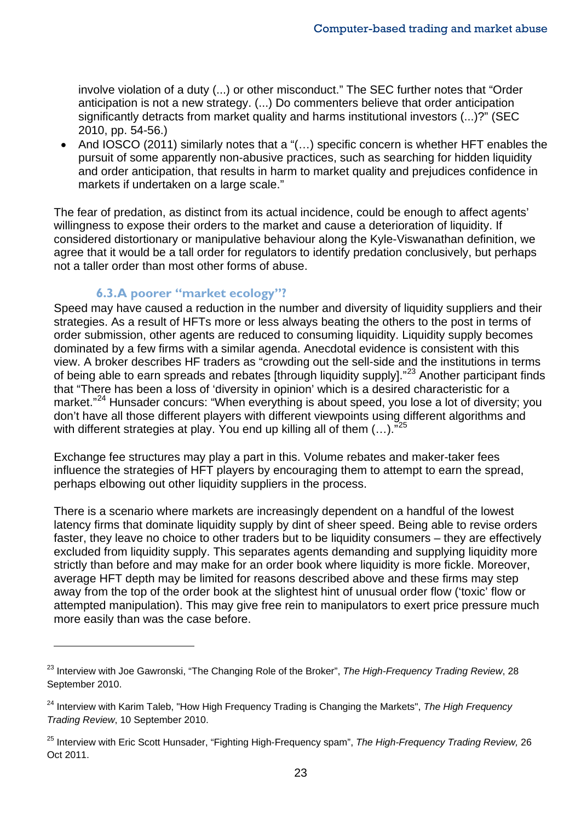involve violation of a duty (...) or other misconduct." The SEC further notes that "Order anticipation is not a new strategy. (...) Do commenters believe that order anticipation significantly detracts from market quality and harms institutional investors (...)?" (SEC 2010, pp. 54-56.)

• And IOSCO (2011) similarly notes that a "(…) specific concern is whether HFT enables the pursuit of some apparently non-abusive practices, such as searching for hidden liquidity and order anticipation, that results in harm to market quality and prejudices confidence in markets if undertaken on a large scale."

The fear of predation, as distinct from its actual incidence, could be enough to affect agents' willingness to expose their orders to the market and cause a deterioration of liquidity. If considered distortionary or manipulative behaviour along the Kyle-Viswanathan definition, we agree that it would be a tall order for regulators to identify predation conclusively, but perhaps not a taller order than most other forms of abuse.

#### **6.3.A poorer "market ecology"?**

 $\overline{a}$ 

Speed may have caused a reduction in the number and diversity of liquidity suppliers and their strategies. As a result of HFTs more or less always beating the others to the post in terms of order submission, other agents are reduced to consuming liquidity. Liquidity supply becomes dominated by a few firms with a similar agenda. Anecdotal evidence is consistent with this view. A broker describes HF traders as "crowding out the sell-side and the institutions in terms of being able to earn spreads and rebates [through liquidity supply]."<sup>[23](#page-24-0)</sup> Another participant finds that "There has been a loss of 'diversity in opinion' which is a desired characteristic for a market."<sup>[24](#page-24-1)</sup> Hunsader concurs: "When everything is about speed, you lose a lot of diversity; you don't have all those different players with different viewpoints using different algorithms and with different strategies at play. You end up killing all of them  $(...).$ "<sup>[25](#page-24-2)</sup>

Exchange fee structures may play a part in this. Volume rebates and maker-taker fees influence the strategies of HFT players by encouraging them to attempt to earn the spread, perhaps elbowing out other liquidity suppliers in the process.

There is a scenario where markets are increasingly dependent on a handful of the lowest latency firms that dominate liquidity supply by dint of sheer speed. Being able to revise orders faster, they leave no choice to other traders but to be liquidity consumers – they are effectively excluded from liquidity supply. This separates agents demanding and supplying liquidity more strictly than before and may make for an order book where liquidity is more fickle. Moreover, average HFT depth may be limited for reasons described above and these firms may step away from the top of the order book at the slightest hint of unusual order flow ('toxic' flow or attempted manipulation). This may give free rein to manipulators to exert price pressure much more easily than was the case before.

<span id="page-24-0"></span><sup>23</sup> Interview with Joe Gawronski, "The Changing Role of the Broker", *The High-Frequency Trading Review*, 28 September 2010.

<span id="page-24-1"></span><sup>24</sup> Interview with Karim Taleb, "How High Frequency Trading is Changing the Markets", *The High Frequency Trading Review*, 10 September 2010.

<span id="page-24-2"></span><sup>25</sup> Interview with Eric Scott Hunsader, "Fighting High-Frequency spam", *The High-Frequency Trading Review,* 26 Oct 2011.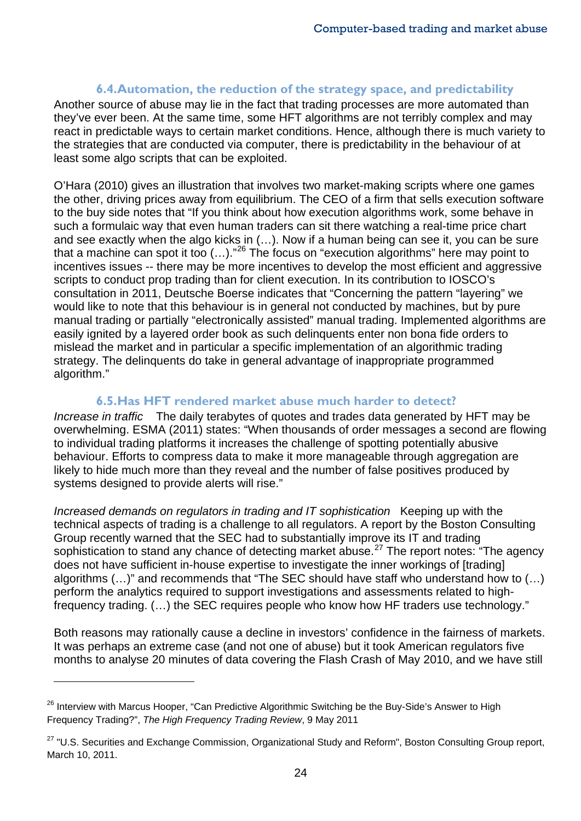#### **6.4.Automation, the reduction of the strategy space, and predictability**

Another source of abuse may lie in the fact that trading processes are more automated than they've ever been. At the same time, some HFT algorithms are not terribly complex and may react in predictable ways to certain market conditions. Hence, although there is much variety to the strategies that are conducted via computer, there is predictability in the behaviour of at least some algo scripts that can be exploited.

O'Hara (2010) gives an illustration that involves two market-making scripts where one games the other, driving prices away from equilibrium. The CEO of a firm that sells execution software to the buy side notes that "If you think about how execution algorithms work, some behave in such a formulaic way that even human traders can sit there watching a real-time price chart and see exactly when the algo kicks in (…). Now if a human being can see it, you can be sure that a machine can spot it too (...)."<sup>[26](#page-25-0)</sup> The focus on "execution algorithms" here may point to incentives issues -- there may be more incentives to develop the most efficient and aggressive scripts to conduct prop trading than for client execution. In its contribution to IOSCO's consultation in 2011, Deutsche Boerse indicates that "Concerning the pattern "layering" we would like to note that this behaviour is in general not conducted by machines, but by pure manual trading or partially "electronically assisted" manual trading. Implemented algorithms are easily ignited by a layered order book as such delinquents enter non bona fide orders to mislead the market and in particular a specific implementation of an algorithmic trading strategy. The delinquents do take in general advantage of inappropriate programmed algorithm."

#### **6.5.Has HFT rendered market abuse much harder to detect?**

*Increase in traffic* The daily terabytes of quotes and trades data generated by HFT may be overwhelming. ESMA (2011) states: "When thousands of order messages a second are flowing to individual trading platforms it increases the challenge of spotting potentially abusive behaviour. Efforts to compress data to make it more manageable through aggregation are likely to hide much more than they reveal and the number of false positives produced by systems designed to provide alerts will rise."

*Increased demands on regulators in trading and IT sophistication* Keeping up with the technical aspects of trading is a challenge to all regulators. A report by the Boston Consulting Group recently warned that the SEC had to substantially improve its IT and trading sophistication to stand any chance of detecting market abuse.<sup>[27](#page-25-1)</sup> The report notes: "The agency does not have sufficient in-house expertise to investigate the inner workings of [trading] algorithms (…)" and recommends that "The SEC should have staff who understand how to (…) perform the analytics required to support investigations and assessments related to highfrequency trading. (…) the SEC requires people who know how HF traders use technology."

Both reasons may rationally cause a decline in investors' confidence in the fairness of markets. It was perhaps an extreme case (and not one of abuse) but it took American regulators five months to analyse 20 minutes of data covering the Flash Crash of May 2010, and we have still

<span id="page-25-0"></span><sup>&</sup>lt;sup>26</sup> Interview with Marcus Hooper, "Can Predictive Algorithmic Switching be the Buy-Side's Answer to High Frequency Trading?", *The High Frequency Trading Review*, 9 May 2011

<span id="page-25-1"></span><sup>&</sup>lt;sup>27</sup> "U.S. Securities and Exchange Commission, Organizational Study and Reform", Boston Consulting Group report, March 10, 2011.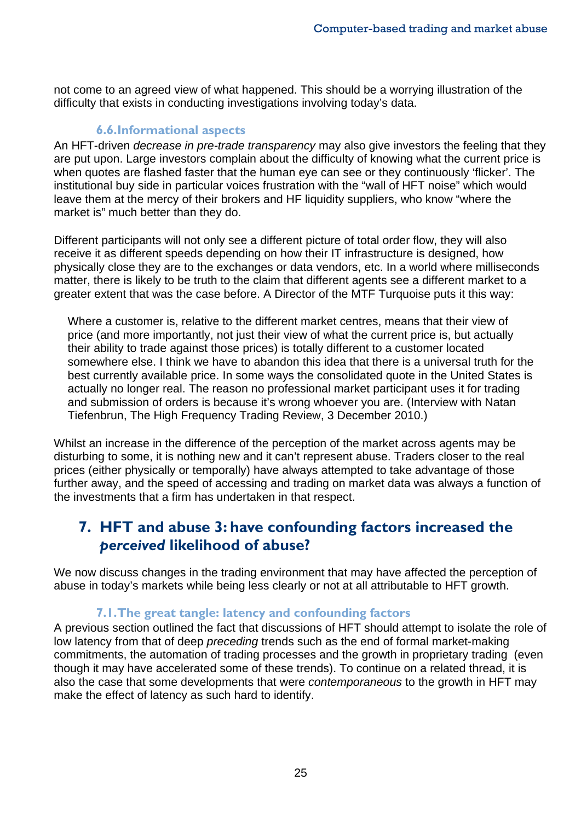not come to an agreed view of what happened. This should be a worrying illustration of the difficulty that exists in conducting investigations involving today's data.

#### **6.6.Informational aspects**

An HFT-driven *decrease in pre-trade transparency* may also give investors the feeling that they are put upon. Large investors complain about the difficulty of knowing what the current price is when quotes are flashed faster that the human eye can see or they continuously 'flicker'. The institutional buy side in particular voices frustration with the "wall of HFT noise" which would leave them at the mercy of their brokers and HF liquidity suppliers, who know "where the market is" much better than they do.

Different participants will not only see a different picture of total order flow, they will also receive it as different speeds depending on how their IT infrastructure is designed, how physically close they are to the exchanges or data vendors, etc. In a world where milliseconds matter, there is likely to be truth to the claim that different agents see a different market to a greater extent that was the case before. A Director of the MTF Turquoise puts it this way:

Where a customer is, relative to the different market centres, means that their view of price (and more importantly, not just their view of what the current price is, but actually their ability to trade against those prices) is totally different to a customer located somewhere else. I think we have to abandon this idea that there is a universal truth for the best currently available price. In some ways the consolidated quote in the United States is actually no longer real. The reason no professional market participant uses it for trading and submission of orders is because it's wrong whoever you are. (Interview with Natan Tiefenbrun, The High Frequency Trading Review, 3 December 2010.)

Whilst an increase in the difference of the perception of the market across agents may be disturbing to some, it is nothing new and it can't represent abuse. Traders closer to the real prices (either physically or temporally) have always attempted to take advantage of those further away, and the speed of accessing and trading on market data was always a function of the investments that a firm has undertaken in that respect.

## **7. HFT and abuse 3: have confounding factors increased the**  *perceived* **likelihood of abuse?**

We now discuss changes in the trading environment that may have affected the perception of abuse in today's markets while being less clearly or not at all attributable to HFT growth.

#### **7.1.The great tangle: latency and confounding factors**

A previous section outlined the fact that discussions of HFT should attempt to isolate the role of low latency from that of deep *preceding* trends such as the end of formal market-making commitments, the automation of trading processes and the growth in proprietary trading (even though it may have accelerated some of these trends). To continue on a related thread, it is also the case that some developments that were *contemporaneous* to the growth in HFT may make the effect of latency as such hard to identify.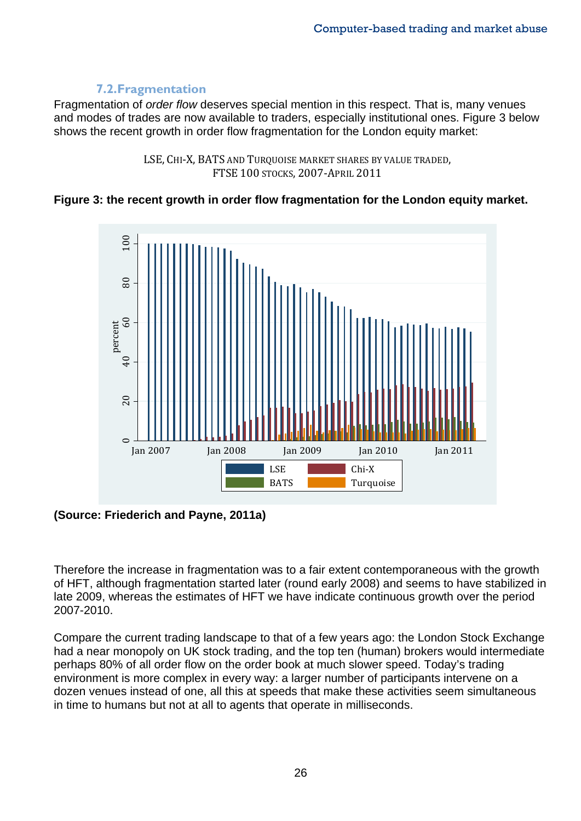#### **7.2.Fragmentation**

Fragmentation of *order flow* deserves special mention in this respect. That is, many venues and modes of trades are now available to traders, especially institutional ones. Figure 3 below shows the recent growth in order flow fragmentation for the London equity market:



#### **Figure 3: the recent growth in order flow fragmentation for the London equity market.**



**(Source: Friederich and Payne, 2011a)**

Therefore the increase in fragmentation was to a fair extent contemporaneous with the growth of HFT, although fragmentation started later (round early 2008) and seems to have stabilized in late 2009, whereas the estimates of HFT we have indicate continuous growth over the period 2007-2010.

Compare the current trading landscape to that of a few years ago: the London Stock Exchange had a near monopoly on UK stock trading, and the top ten (human) brokers would intermediate perhaps 80% of all order flow on the order book at much slower speed. Today's trading environment is more complex in every way: a larger number of participants intervene on a dozen venues instead of one, all this at speeds that make these activities seem simultaneous in time to humans but not at all to agents that operate in milliseconds.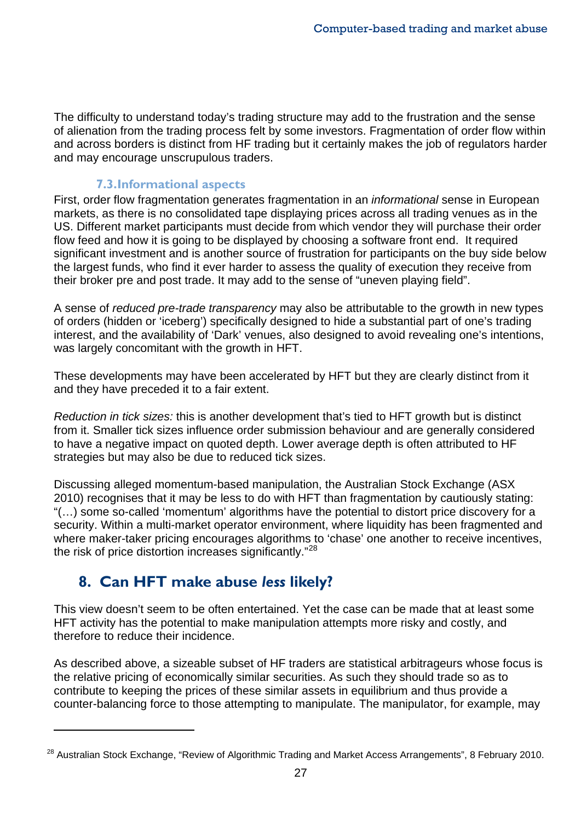The difficulty to understand today's trading structure may add to the frustration and the sense of alienation from the trading process felt by some investors. Fragmentation of order flow within and across borders is distinct from HF trading but it certainly makes the job of regulators harder and may encourage unscrupulous traders.

#### **7.3.Informational aspects**

First, order flow fragmentation generates fragmentation in an *informational* sense in European markets, as there is no consolidated tape displaying prices across all trading venues as in the US. Different market participants must decide from which vendor they will purchase their order flow feed and how it is going to be displayed by choosing a software front end. It required significant investment and is another source of frustration for participants on the buy side below the largest funds, who find it ever harder to assess the quality of execution they receive from their broker pre and post trade. It may add to the sense of "uneven playing field".

A sense of *reduced pre-trade transparency* may also be attributable to the growth in new types of orders (hidden or 'iceberg') specifically designed to hide a substantial part of one's trading interest, and the availability of 'Dark' venues, also designed to avoid revealing one's intentions, was largely concomitant with the growth in HFT.

These developments may have been accelerated by HFT but they are clearly distinct from it and they have preceded it to a fair extent.

*Reduction in tick sizes:* this is another development that's tied to HFT growth but is distinct from it. Smaller tick sizes influence order submission behaviour and are generally considered to have a negative impact on quoted depth. Lower average depth is often attributed to HF strategies but may also be due to reduced tick sizes.

Discussing alleged momentum-based manipulation, the Australian Stock Exchange (ASX 2010) recognises that it may be less to do with HFT than fragmentation by cautiously stating: "(…) some so-called 'momentum' algorithms have the potential to distort price discovery for a security. Within a multi-market operator environment, where liquidity has been fragmented and where maker-taker pricing encourages algorithms to 'chase' one another to receive incentives, the risk of price distortion increases significantly."<sup>[28](#page-28-0)</sup>

# **8. Can HFT make abuse** *less* **likely?**

 $\overline{a}$ 

This view doesn't seem to be often entertained. Yet the case can be made that at least some HFT activity has the potential to make manipulation attempts more risky and costly, and therefore to reduce their incidence.

As described above, a sizeable subset of HF traders are statistical arbitrageurs whose focus is the relative pricing of economically similar securities. As such they should trade so as to contribute to keeping the prices of these similar assets in equilibrium and thus provide a counter-balancing force to those attempting to manipulate. The manipulator, for example, may

<span id="page-28-0"></span><sup>&</sup>lt;sup>28</sup> Australian Stock Exchange, "Review of Algorithmic Trading and Market Access Arrangements", 8 February 2010.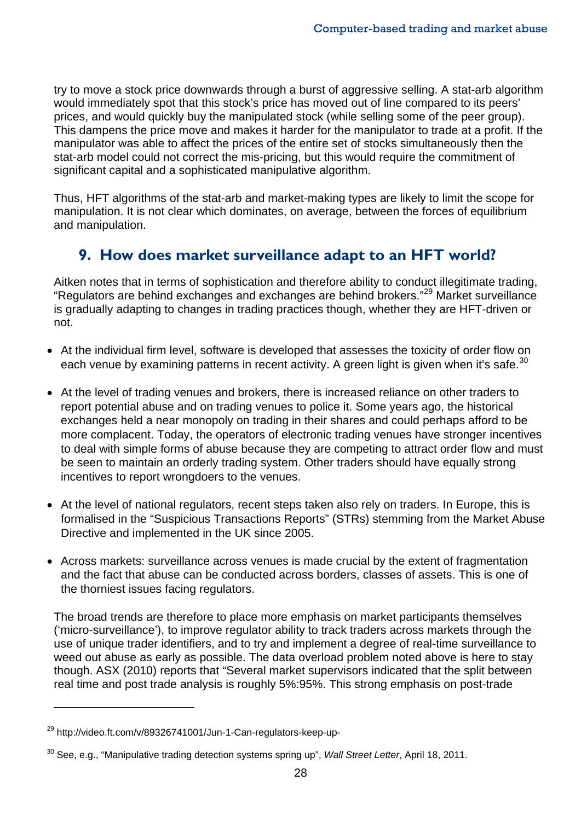try to move a stock price downwards through a burst of aggressive selling. A stat-arb algorithm would immediately spot that this stock's price has moved out of line compared to its peers' prices, and would quickly buy the manipulated stock (while selling some of the peer group). This dampens the price move and makes it harder for the manipulator to trade at a profit. If the manipulator was able to affect the prices of the entire set of stocks simultaneously then the stat-arb model could not correct the mis-pricing, but this would require the commitment of significant capital and a sophisticated manipulative algorithm.

Thus, HFT algorithms of the stat-arb and market-making types are likely to limit the scope for manipulation. It is not clear which dominates, on average, between the forces of equilibrium and manipulation.

# **9. How does market surveillance adapt to an HFT world?**

Aitken notes that in terms of sophistication and therefore ability to conduct illegitimate trading, "Regulators are behind exchanges and exchanges are behind brokers."<sup>[29](#page-29-0)</sup> Market surveillance is gradually adapting to changes in trading practices though, whether they are HFT-driven or not.

- At the individual firm level, software is developed that assesses the toxicity of order flow on each venue by examining patterns in recent activity. A green light is given when it's safe. $^{30}$  $^{30}$  $^{30}$
- At the level of trading venues and brokers, there is increased reliance on other traders to report potential abuse and on trading venues to police it. Some years ago, the historical exchanges held a near monopoly on trading in their shares and could perhaps afford to be more complacent. Today, the operators of electronic trading venues have stronger incentives to deal with simple forms of abuse because they are competing to attract order flow and must be seen to maintain an orderly trading system. Other traders should have equally strong incentives to report wrongdoers to the venues.
- At the level of national regulators, recent steps taken also rely on traders. In Europe, this is formalised in the "Suspicious Transactions Reports" (STRs) stemming from the Market Abuse Directive and implemented in the UK since 2005.
- Across markets: surveillance across venues is made crucial by the extent of fragmentation and the fact that abuse can be conducted across borders, classes of assets. This is one of the thorniest issues facing regulators.

The broad trends are therefore to place more emphasis on market participants themselves ('micro-surveillance'), to improve regulator ability to track traders across markets through the use of unique trader identifiers, and to try and implement a degree of real-time surveillance to weed out abuse as early as possible. The data overload problem noted above is here to stay though. ASX (2010) reports that "Several market supervisors indicated that the split between real time and post trade analysis is roughly 5%:95%. This strong emphasis on post-trade

<span id="page-29-0"></span><sup>&</sup>lt;sup>29</sup> http://video.ft.com/v/89326741001/Jun-1-Can-regulators-keep-up-

<span id="page-29-1"></span><sup>30</sup> See, e.g., "Manipulative trading detection systems spring up", *Wall Street Letter*, April 18, 2011.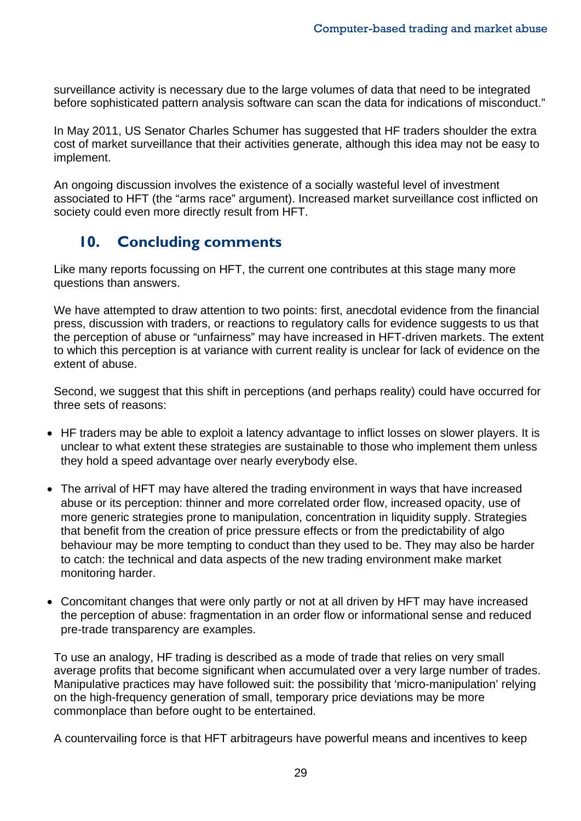surveillance activity is necessary due to the large volumes of data that need to be integrated before sophisticated pattern analysis software can scan the data for indications of misconduct."

In May 2011, US Senator Charles Schumer has suggested that HF traders shoulder the extra cost of market surveillance that their activities generate, although this idea may not be easy to implement.

An ongoing discussion involves the existence of a socially wasteful level of investment associated to HFT (the "arms race" argument). Increased market surveillance cost inflicted on society could even more directly result from HFT.

## **10. Concluding comments**

Like many reports focussing on HFT, the current one contributes at this stage many more questions than answers.

We have attempted to draw attention to two points: first, anecdotal evidence from the financial press, discussion with traders, or reactions to regulatory calls for evidence suggests to us that the perception of abuse or "unfairness" may have increased in HFT-driven markets. The extent to which this perception is at variance with current reality is unclear for lack of evidence on the extent of abuse.

Second, we suggest that this shift in perceptions (and perhaps reality) could have occurred for three sets of reasons:

- HF traders may be able to exploit a latency advantage to inflict losses on slower players. It is unclear to what extent these strategies are sustainable to those who implement them unless they hold a speed advantage over nearly everybody else.
- The arrival of HFT may have altered the trading environment in ways that have increased abuse or its perception: thinner and more correlated order flow, increased opacity, use of more generic strategies prone to manipulation, concentration in liquidity supply. Strategies that benefit from the creation of price pressure effects or from the predictability of algo behaviour may be more tempting to conduct than they used to be. They may also be harder to catch: the technical and data aspects of the new trading environment make market monitoring harder.
- Concomitant changes that were only partly or not at all driven by HFT may have increased the perception of abuse: fragmentation in an order flow or informational sense and reduced pre-trade transparency are examples.

To use an analogy, HF trading is described as a mode of trade that relies on very small average profits that become significant when accumulated over a very large number of trades. Manipulative practices may have followed suit: the possibility that 'micro-manipulation' relying on the high-frequency generation of small, temporary price deviations may be more commonplace than before ought to be entertained.

A countervailing force is that HFT arbitrageurs have powerful means and incentives to keep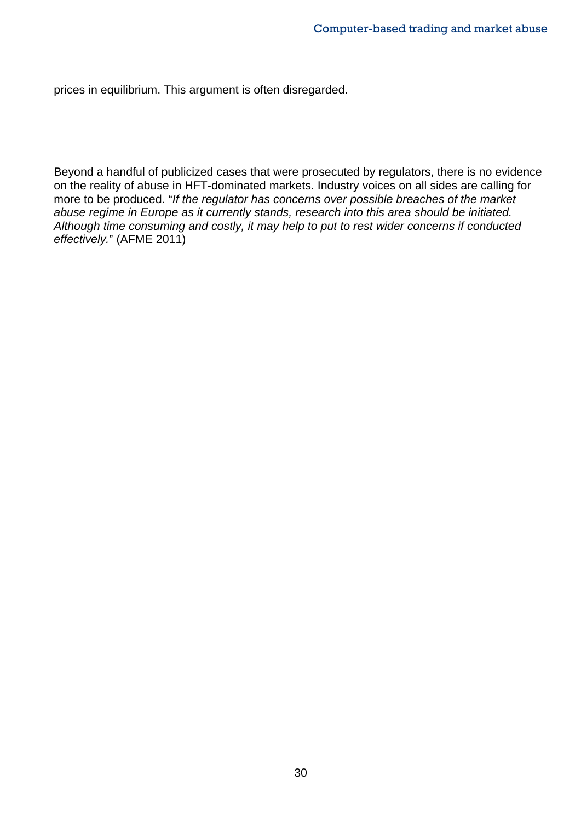prices in equilibrium. This argument is often disregarded.

Beyond a handful of publicized cases that were prosecuted by regulators, there is no evidence on the reality of abuse in HFT-dominated markets. Industry voices on all sides are calling for more to be produced. "*If the regulator has concerns over possible breaches of the market abuse regime in Europe as it currently stands, research into this area should be initiated. Although time consuming and costly, it may help to put to rest wider concerns if conducted effectively.*" (AFME 2011)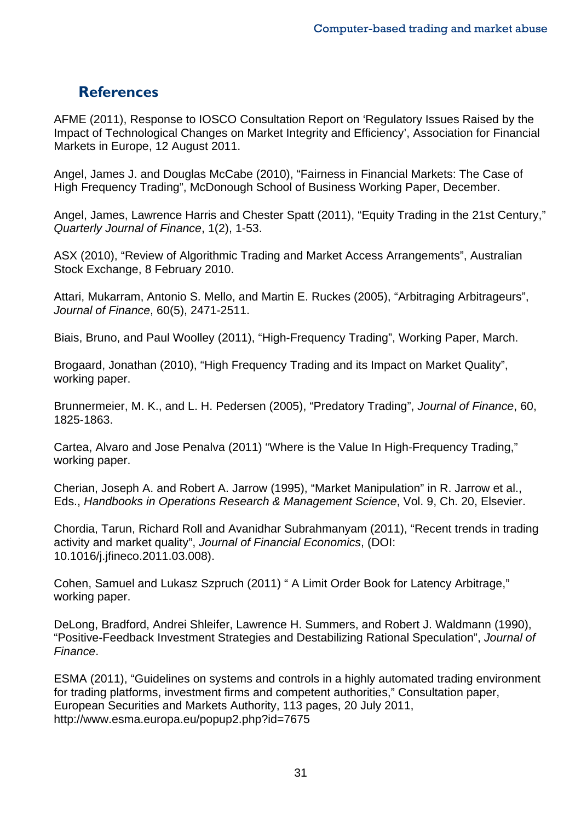### **References**

AFME (2011), Response to IOSCO Consultation Report on 'Regulatory Issues Raised by the Impact of Technological Changes on Market Integrity and Efficiency', Association for Financial Markets in Europe, 12 August 2011.

Angel, James J. and Douglas McCabe (2010), "Fairness in Financial Markets: The Case of High Frequency Trading", McDonough School of Business Working Paper, December.

Angel, James, Lawrence Harris and Chester Spatt (2011), "Equity Trading in the 21st Century," *Quarterly Journal of Finance*, 1(2), 1-53.

ASX (2010), "Review of Algorithmic Trading and Market Access Arrangements", Australian Stock Exchange, 8 February 2010.

Attari, Mukarram, Antonio S. Mello, and Martin E. Ruckes (2005), "Arbitraging Arbitrageurs", *Journal of Finance*, 60(5), 2471-2511.

Biais, Bruno, and Paul Woolley (2011), "High-Frequency Trading", Working Paper, March.

Brogaard, Jonathan (2010), "High Frequency Trading and its Impact on Market Quality", working paper.

Brunnermeier, M. K., and L. H. Pedersen (2005), "Predatory Trading", *Journal of Finance*, 60, 1825-1863.

Cartea, Alvaro and Jose Penalva (2011) "Where is the Value In High-Frequency Trading," working paper.

Cherian, Joseph A. and Robert A. Jarrow (1995), "Market Manipulation" in R. Jarrow et al., Eds., *Handbooks in Operations Research & Management Science*, Vol. 9, Ch. 20, Elsevier.

Chordia, Tarun, Richard Roll and Avanidhar Subrahmanyam (2011), "Recent trends in trading activity and market quality", *Journal of Financial Economics*, (DOI: 10.1016/j.jfineco.2011.03.008).

Cohen, Samuel and Lukasz Szpruch (2011) " A Limit Order Book for Latency Arbitrage," working paper.

DeLong, Bradford, Andrei Shleifer, Lawrence H. Summers, and Robert J. Waldmann (1990), "Positive-Feedback Investment Strategies and Destabilizing Rational Speculation", *Journal of Finance*.

ESMA (2011), "Guidelines on systems and controls in a highly automated trading environment for trading platforms, investment firms and competent authorities," Consultation paper, European Securities and Markets Authority, 113 pages, 20 July 2011, http://www.esma.europa.eu/popup2.php?id=7675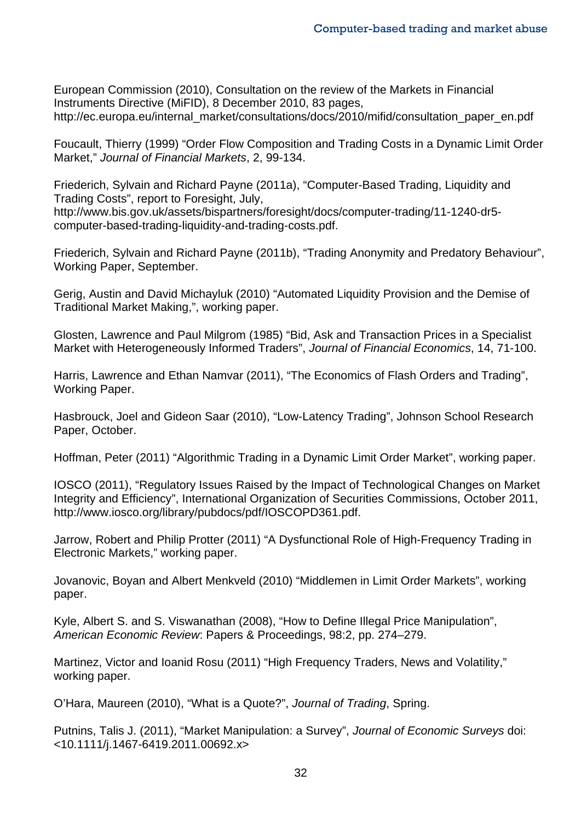European Commission (2010), Consultation on the review of the Markets in Financial Instruments Directive (MiFID), 8 December 2010, 83 pages, http://ec.europa.eu/internal\_market/consultations/docs/2010/mifid/consultation\_paper\_en.pdf

Foucault, Thierry (1999) "Order Flow Composition and Trading Costs in a Dynamic Limit Order Market," *Journal of Financial Markets*, 2, 99-134.

Friederich, Sylvain and Richard Payne (2011a), "Computer-Based Trading, Liquidity and Trading Costs", report to Foresight, July, http://www.bis.gov.uk/assets/bispartners/foresight/docs/computer-trading/11-1240-dr5 computer-based-trading-liquidity-and-trading-costs.pdf.

Friederich, Sylvain and Richard Payne (2011b), "Trading Anonymity and Predatory Behaviour", Working Paper, September.

Gerig, Austin and David Michayluk (2010) "Automated Liquidity Provision and the Demise of Traditional Market Making,", working paper.

Glosten, Lawrence and Paul Milgrom (1985) "Bid, Ask and Transaction Prices in a Specialist Market with Heterogeneously Informed Traders", *Journal of Financial Economics*, 14, 71-100.

Harris, Lawrence and Ethan Namvar (2011), "The Economics of Flash Orders and Trading", Working Paper.

Hasbrouck, Joel and Gideon Saar (2010), "Low-Latency Trading", Johnson School Research Paper, October.

Hoffman, Peter (2011) "Algorithmic Trading in a Dynamic Limit Order Market", working paper.

IOSCO (2011), "Regulatory Issues Raised by the Impact of Technological Changes on Market Integrity and Efficiency", International Organization of Securities Commissions, October 2011, http://www.iosco.org/library/pubdocs/pdf/IOSCOPD361.pdf.

Jarrow, Robert and Philip Protter (2011) "A Dysfunctional Role of High-Frequency Trading in Electronic Markets," working paper.

Jovanovic, Boyan and Albert Menkveld (2010) "Middlemen in Limit Order Markets", working paper.

Kyle, Albert S. and S. Viswanathan (2008), "How to Define Illegal Price Manipulation", *American Economic Review*: Papers & Proceedings, 98:2, pp. 274–279.

Martinez, Victor and Ioanid Rosu (2011) "High Frequency Traders, News and Volatility," working paper.

O'Hara, Maureen (2010), "What is a Quote?", *Journal of Trading*, Spring.

Putnins, Talis J. (2011), "Market Manipulation: a Survey", *Journal of Economic Surveys* doi: <10.1111/j.1467-6419.2011.00692.x>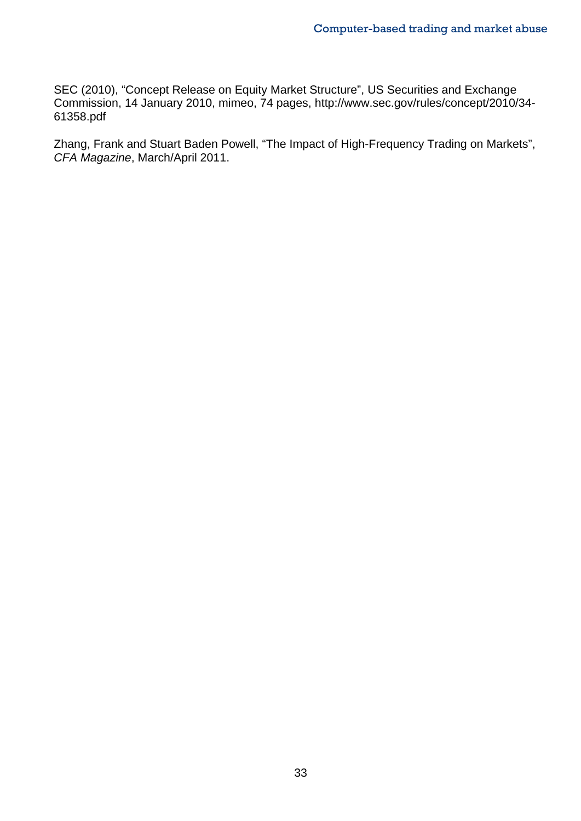SEC (2010), "Concept Release on Equity Market Structure", US Securities and Exchange Commission, 14 January 2010, mimeo, 74 pages, http://www.sec.gov/rules/concept/2010/34- 61358.pdf

Zhang, Frank and Stuart Baden Powell, "The Impact of High-Frequency Trading on Markets", *CFA Magazine*, March/April 2011.